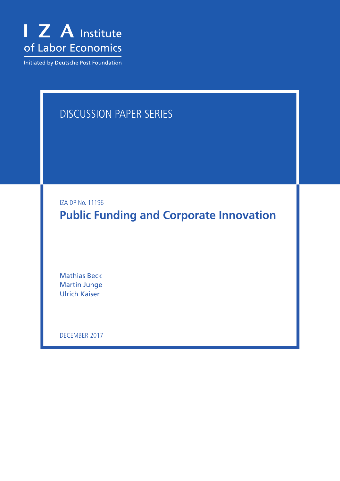

Initiated by Deutsche Post Foundation

# DISCUSSION PAPER SERIES

IZA DP No. 11196

**Public Funding and Corporate Innovation**

Mathias Beck Martin Junge Ulrich Kaiser

DECEMBER 2017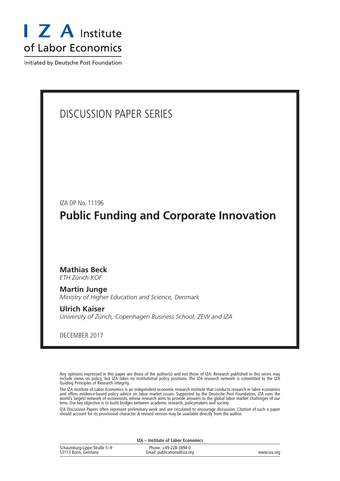

Initiated by Deutsche Post Foundation

# DISCUSSION PAPER SERIES

IZA DP No. 11196 **Public Funding and Corporate Innovation**

### **Mathias Beck**

*ETH Zürich KOF*

**Martin Junge** *Ministry of Higher Education and Science, Denmark*

**Ulrich Kaiser** *University of Zürich, Copenhagen Business School, ZEW and IZA*

DECEMBER 2017

Any opinions expressed in this paper are those of the author(s) and not those of IZA. Research published in this series may include views on policy, but IZA takes no institutional policy positions. The IZA research network is committed to the IZA Guiding Principles of Research Integrity.

The IZA Institute of Labor Economics is an independent economic research institute that conducts research in labor economics and offers evidence-based policy advice on labor market issues. Supported by the Deutsche Post Foundation, IZA runs the world's largest network of economists, whose research aims to provide answers to the global labor market challenges of our time. Our key objective is to build bridges between academic research, policymakers and society.

IZA Discussion Papers often represent preliminary work and are circulated to encourage discussion. Citation of such a paper should account for its provisional character. A revised version may be available directly from the author.

| IZA – Institute of Labor Economics                 |                                                      |             |  |  |
|----------------------------------------------------|------------------------------------------------------|-------------|--|--|
| Schaumburg-Lippe-Straße 5-9<br>53113 Bonn, Germany | Phone: +49-228-3894-0<br>Email: publications@iza.org | www.iza.org |  |  |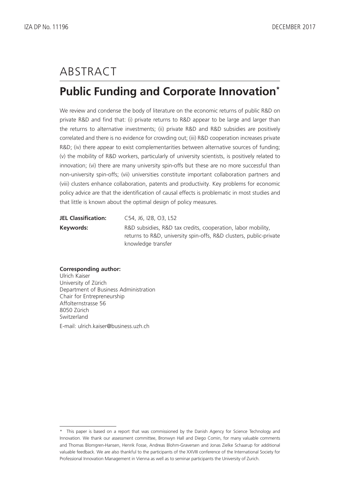# ABSTRACT

# **Public Funding and Corporate Innovation\***

We review and condense the body of literature on the economic returns of public R&D on private R&D and find that: (i) private returns to R&D appear to be large and larger than the returns to alternative investments; (ii) private R&D and R&D subsidies are positively correlated and there is no evidence for crowding out; (iii) R&D cooperation increases private R&D; (iv) there appear to exist complementarities between alternative sources of funding; (v) the mobility of R&D workers, particularly of university scientists, is positively related to innovation; (vi) there are many university spin-offs but these are no more successful than non-university spin-offs; (vii) universities constitute important collaboration partners and (viii) clusters enhance collaboration, patents and productivity. Key problems for economic policy advice are that the identification of causal effects is problematic in most studies and that little is known about the optimal design of policy measures.

| <b>JEL Classification:</b> | C54, J6, J28, O3, L52                                                                                                              |
|----------------------------|------------------------------------------------------------------------------------------------------------------------------------|
| Keywords:                  | R&D subsidies, R&D tax credits, cooperation, labor mobility,<br>returns to R&D, university spin-offs, R&D clusters, public-private |
|                            | knowledge transfer                                                                                                                 |

#### **Corresponding author:**

Ulrich Kaiser University of Zürich Department of Business Administration Chair for Entrepreneurship Affolternstrasse 56 8050 Zürich Switzerland E-mail: ulrich.kaiser@business.uzh.ch

<sup>\*</sup> This paper is based on a report that was commissioned by the Danish Agency for Science Technology and Innovation. We thank our assessment committee, Bronwyn Hall and Diego Comin, for many valuable comments and Thomas Blomgren-Hansen, Henrik Fosse, Andreas Blohm-Graversen and Jonas Zielke Schaarup for additional valuable feedback. We are also thankful to the participants of the XXVIII conference of the International Society for Professional Innovation Management in Vienna as well as to seminar participants the University of Zurich.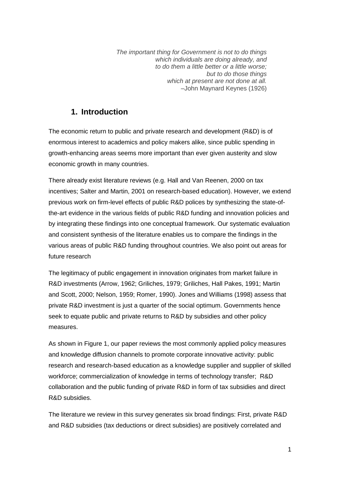*The important thing for Government is not to do things which individuals are doing already, and to do them a little better or a little worse; but to do those things which at present are not done at all.* –John Maynard Keynes (1926)

# **1. Introduction**

The economic return to public and private research and development (R&D) is of enormous interest to academics and policy makers alike, since public spending in growth-enhancing areas seems more important than ever given austerity and slow economic growth in many countries.

There already exist literature reviews (e.g. Hall and Van Reenen, 2000 on tax incentives; Salter and Martin, 2001 on research-based education). However, we extend previous work on firm-level effects of public R&D polices by synthesizing the state-ofthe-art evidence in the various fields of public R&D funding and innovation policies and by integrating these findings into one conceptual framework. Our systematic evaluation and consistent synthesis of the literature enables us to compare the findings in the various areas of public R&D funding throughout countries. We also point out areas for future research

The legitimacy of public engagement in innovation originates from market failure in R&D investments (Arrow, 1962; Griliches, 1979; Griliches, Hall Pakes, 1991; Martin and Scott, 2000; Nelson, 1959; Romer, 1990). Jones and Williams (1998) assess that private R&D investment is just a quarter of the social optimum. Governments hence seek to equate public and private returns to R&D by subsidies and other policy measures.

As shown in Figure 1, our paper reviews the most commonly applied policy measures and knowledge diffusion channels to promote corporate innovative activity: public research and research-based education as a knowledge supplier and supplier of skilled workforce; commercialization of knowledge in terms of technology transfer; R&D collaboration and the public funding of private R&D in form of tax subsidies and direct R&D subsidies.

The literature we review in this survey generates six broad findings: First, private R&D and R&D subsidies (tax deductions or direct subsidies) are positively correlated and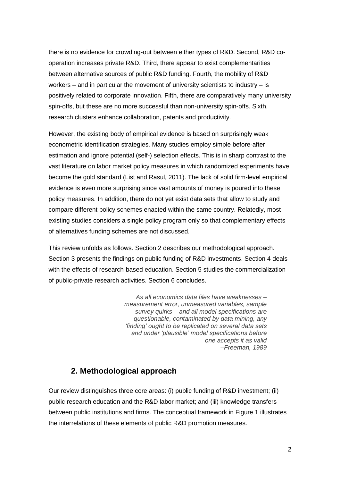there is no evidence for crowding-out between either types of R&D. Second, R&D cooperation increases private R&D. Third, there appear to exist complementarities between alternative sources of public R&D funding. Fourth, the mobility of R&D workers – and in particular the movement of university scientists to industry – is positively related to corporate innovation. Fifth, there are comparatively many university spin-offs, but these are no more successful than non-university spin-offs. Sixth, research clusters enhance collaboration, patents and productivity.

However, the existing body of empirical evidence is based on surprisingly weak econometric identification strategies. Many studies employ simple before-after estimation and ignore potential (self-) selection effects. This is in sharp contrast to the vast literature on labor market policy measures in which randomized experiments have become the gold standard (List and Rasul, 2011). The lack of solid firm-level empirical evidence is even more surprising since vast amounts of money is poured into these policy measures. In addition, there do not yet exist data sets that allow to study and compare different policy schemes enacted within the same country. Relatedly, most existing studies considers a single policy program only so that complementary effects of alternatives funding schemes are not discussed.

This review unfolds as follows. Section 2 describes our methodological approach. Section 3 presents the findings on public funding of R&D investments. Section 4 deals with the effects of research-based education. Section 5 studies the commercialization of public-private research activities. Section 6 concludes.

> *As all economics data files have weaknesses – measurement error, unmeasured variables, sample survey quirks – and all model specifications are questionable, contaminated by data mining, any 'finding' ought to be replicated on several data sets and under 'plausible' model specifications before one accepts it as valid –Freeman, 1989*

# **2. Methodological approach**

Our review distinguishes three core areas: (i) public funding of R&D investment; (ii) public research education and the R&D labor market; and (iii) knowledge transfers between public institutions and firms. The conceptual framework in Figure 1 illustrates the interrelations of these elements of public R&D promotion measures.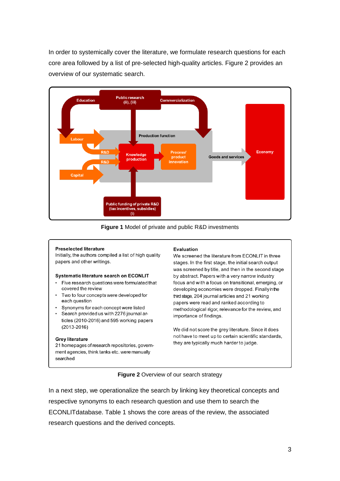In order to systemically cover the literature, we formulate research questions for each core area followed by a list of pre-selected high-quality articles. Figure 2 provides an overview of our systematic search.



**Figure 1** Model of private and public R&D investments

#### **Preselected literature**

Initially, the authors compiled a list of high quality papers and other writings.

#### Systematic literature search on ECONLIT

- Five research questions were formulated that covered the review
- Two to four concepts were developed for each question
- Synonyms for each concept were listed
- Search provided us with 2276 journal articles (2010-2016) and 595 working papers  $(2013 - 2016)$

#### **Grey literature**

21 homepages of research repositories, government agencies, think tanks etc. were manually searched

#### Evaluation

We screened the literature from ECONLIT in three stages. In the first stage, the initial search output was screened by title, and then in the second stage by abstract. Papers with a very narrow industry focus and with a focus on transitional, emerging, or developing economies were dropped. Finallyinthe third stage, 204 journal articles and 21 working papers were read and ranked according to methodological rigor, relevance for the review, and importance of findings.

We did not score the grey literature. Since it does not have to meet up to certain scientific standards, they are typically much harder to judge.

#### **Figure 2** Overview of our search strategy

In a next step, we operationalize the search by linking key theoretical concepts and respective synonyms to each research question and use them to search the ECONLITdatabase. Table 1 shows the core areas of the review, the associated research questions and the derived concepts.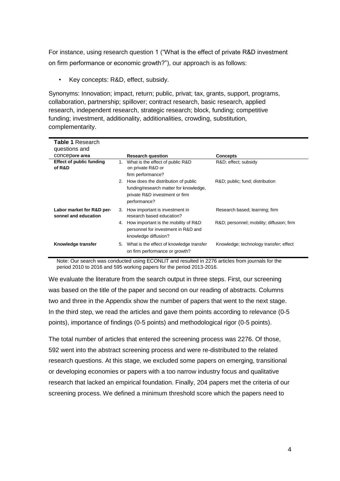For instance, using research question 1 ("What is the effect of private R&D investment on firm performance or economic growth?"), our approach is as follows:

• Key concepts: R&D, effect, subsidy.

Synonyms: Innovation; impact, return; public, privat; tax, grants, support, programs, collaboration, partnership; spillover; contract research, basic research, applied research, independent research, strategic research; block, funding; competitive funding; investment, additionality, additionalities, crowding, substitution, complementarity.

| <b>Table 1</b> Research<br>questions and          |                                                                                                                                    |                                          |
|---------------------------------------------------|------------------------------------------------------------------------------------------------------------------------------------|------------------------------------------|
| concepore area                                    | <b>Research question</b>                                                                                                           | <b>Concepts</b>                          |
| <b>Effect of public funding</b><br>of R&D         | What is the effect of public R&D<br>on private R&D or<br>firm performance?                                                         | R&D effect; subsidy                      |
|                                                   | 2. How does the distribution of public<br>funding/research matter for knowledge,<br>private R&D investment or firm<br>performance? | R&D public; fund; distribution           |
| Labor market for R&D per-<br>sonnel and education | How important is investment in<br>research based education?                                                                        | Research based; learning; firm           |
|                                                   | How important is the mobility of R&D<br>personnel for investment in R&D and<br>knowledge diffusion?                                | R&D personnel; mobility; diffusion; firm |
| Knowledge transfer                                | What is the effect of knowledge transfer<br>on firm performance or growth?                                                         | Knowledge; technology transfer; effect   |

Note: Our search was conducted using ECONLIT and resulted in 2276 articles from journals for the period 2010 to 2016 and 595 working papers for the period 2013-2016.

We evaluate the literature from the search output in three steps. First, our screening was based on the title of the paper and second on our reading of abstracts. Columns two and three in the Appendix show the number of papers that went to the next stage. In the third step, we read the articles and gave them points according to relevance (0-5 points), importance of findings (0-5 points) and methodological rigor (0-5 points).

The total number of articles that entered the screening process was 2276. Of those, 592 went into the abstract screening process and were re-distributed to the related research questions. At this stage, we excluded some papers on emerging, transitional or developing economies or papers with a too narrow industry focus and qualitative research that lacked an empirical foundation. Finally, 204 papers met the criteria of our screening process. We defined a minimum threshold score which the papers need to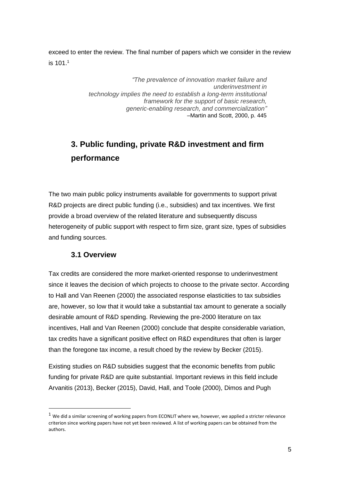exceed to enter the review. The final number of papers which we consider in the review is  $101<sup>1</sup>$ 

> *"The prevalence of innovation market failure and underinvestment in technology implies the need to establish a long-term institutional framework for the support of basic research, generic-enabling research, and commercialization"* –Martin and Scott, 2000, p. 445

# **3. Public funding, private R&D investment and firm performance**

The two main public policy instruments available for governments to support privat R&D projects are direct public funding (i.e., subsidies) and tax incentives. We first provide a broad overview of the related literature and subsequently discuss heterogeneity of public support with respect to firm size, grant size, types of subsidies and funding sources.

## **3.1 Overview**

**.** 

Tax credits are considered the more market-oriented response to underinvestment since it leaves the decision of which projects to choose to the private sector. According to Hall and Van Reenen (2000) the associated response elasticities to tax subsidies are, however, so low that it would take a substantial tax amount to generate a socially desirable amount of R&D spending. Reviewing the pre-2000 literature on tax incentives, Hall and Van Reenen (2000) conclude that despite considerable variation, tax credits have a significant positive effect on R&D expenditures that often is larger than the foregone tax income, a result choed by the review by Becker (2015).

Existing studies on R&D subsidies suggest that the economic benefits from public funding for private R&D are quite substantial. Important reviews in this field include Arvanitis (2013), Becker (2015), David, Hall, and Toole (2000), Dimos and Pugh

 $1$  We did a similar screening of working papers from ECONLIT where we, however, we applied a stricter relevance criterion since working papers have not yet been reviewed. A list of working papers can be obtained from the authors.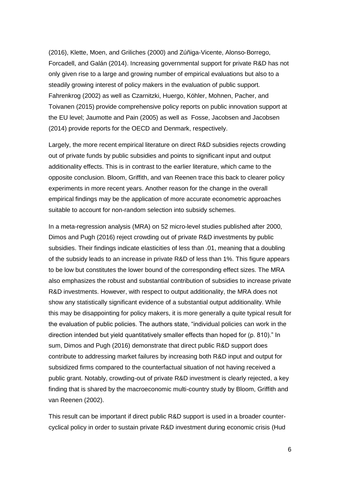(2016), Klette, Moen, and Griliches (2000) and Zúñiga‐Vicente, Alonso‐Borrego, Forcadell, and Galán (2014). Increasing governmental support for private R&D has not only given rise to a large and growing number of empirical evaluations but also to a steadily growing interest of policy makers in the evaluation of public support. Fahrenkrog (2002) as well as Czarnitzki, Huergo, Köhler, Mohnen, Pacher, and Toivanen (2015) provide comprehensive policy reports on public innovation support at the EU level; Jaumotte and Pain (2005) as well as Fosse, Jacobsen and Jacobsen (2014) provide reports for the OECD and Denmark, respectively.

Largely, the more recent empirical literature on direct R&D subsidies rejects crowding out of private funds by public subsidies and points to significant input and output additionality effects. This is in contrast to the earlier literature, which came to the opposite conclusion. Bloom, Griffith, and van Reenen trace this back to clearer policy experiments in more recent years. Another reason for the change in the overall empirical findings may be the application of more accurate econometric approaches suitable to account for non-random selection into subsidy schemes.

In a meta-regression analysis (MRA) on 52 micro-level studies published after 2000, Dimos and Pugh (2016) reject crowding out of private R&D investments by public subsidies. Their findings indicate elasticities of less than .01, meaning that a doubling of the subsidy leads to an increase in private R&D of less than 1%. This figure appears to be low but constitutes the lower bound of the corresponding effect sizes. The MRA also emphasizes the robust and substantial contribution of subsidies to increase private R&D investments. However, with respect to output additionality, the MRA does not show any statistically significant evidence of a substantial output additionality. While this may be disappointing for policy makers, it is more generally a quite typical result for the evaluation of public policies. The authors state, "individual policies can work in the direction intended but yield quantitatively smaller effects than hoped for (p. 810)." In sum, Dimos and Pugh (2016) demonstrate that direct public R&D support does contribute to addressing market failures by increasing both R&D input and output for subsidized firms compared to the counterfactual situation of not having received a public grant. Notably, crowding-out of private R&D investment is clearly rejected, a key finding that is shared by the macroeconomic multi-country study by Bloom, Griffith and van Reenen (2002).

This result can be important if direct public R&D support is used in a broader countercyclical policy in order to sustain private R&D investment during economic crisis (Hud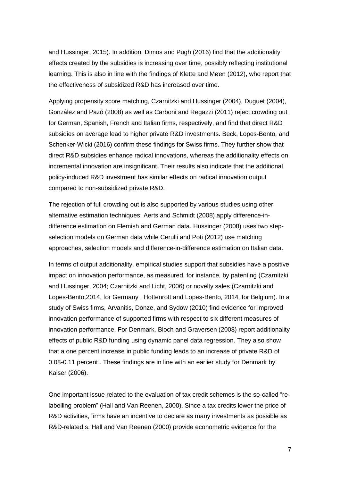and Hussinger, 2015). In addition, Dimos and Pugh (2016) find that the additionality effects created by the subsidies is increasing over time, possibly reflecting institutional learning. This is also in line with the findings of Klette and Møen (2012), who report that the effectiveness of subsidized R&D has increased over time.

Applying propensity score matching, Czarnitzki and Hussinger (2004), Duguet (2004), González and Pazó (2008) as well as Carboni and Regazzi (2011) reject crowding out for German, Spanish, French and Italian firms, respectively, and find that direct R&D subsidies on average lead to higher private R&D investments. Beck, Lopes-Bento, and Schenker-Wicki (2016) confirm these findings for Swiss firms. They further show that direct R&D subsidies enhance radical innovations, whereas the additionality effects on incremental innovation are insignificant. Their results also indicate that the additional policy-induced R&D investment has similar effects on radical innovation output compared to non-subsidized private R&D.

The rejection of full crowding out is also supported by various studies using other alternative estimation techniques. Aerts and Schmidt (2008) apply difference-indifference estimation on Flemish and German data. Hussinger (2008) uses two stepselection models on German data while Cerulli and Poti (2012) use matching approaches, selection models and difference-in-difference estimation on Italian data.

In terms of output additionality, empirical studies support that subsidies have a positive impact on innovation performance, as measured, for instance, by patenting (Czarnitzki and Hussinger, 2004; Czarnitzki and Licht, 2006) or novelty sales (Czarnitzki and Lopes-Bento,2014, for Germany ; Hottenrott and Lopes-Bento, 2014, for Belgium). In a study of Swiss firms, Arvanitis, Donze, and Sydow (2010) find evidence for improved innovation performance of supported firms with respect to six different measures of innovation performance. For Denmark, Bloch and Graversen (2008) report additionality effects of public R&D funding using dynamic panel data regression. They also show that a one percent increase in public funding leads to an increase of private R&D of 0.08-0.11 percent . These findings are in line with an earlier study for Denmark by Kaiser (2006).

One important issue related to the evaluation of tax credit schemes is the so-called "relabelling problem" (Hall and Van Reenen, 2000). Since a tax credits lower the price of R&D activities, firms have an incentive to declare as many investments as possible as R&D-related s. Hall and Van Reenen (2000) provide econometric evidence for the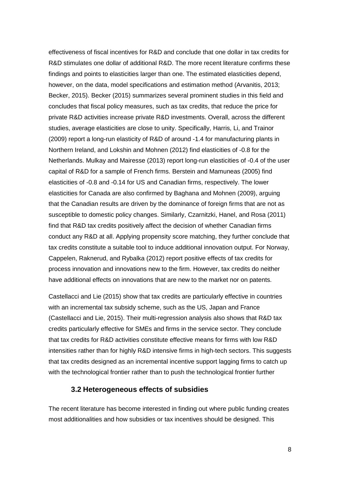effectiveness of fiscal incentives for R&D and conclude that one dollar in tax credits for R&D stimulates one dollar of additional R&D. The more recent literature confirms these findings and points to elasticities larger than one. The estimated elasticities depend, however, on the data, model specifications and estimation method (Arvanitis, 2013; Becker, 2015). Becker (2015) summarizes several prominent studies in this field and concludes that fiscal policy measures, such as tax credits, that reduce the price for private R&D activities increase private R&D investments. Overall, across the different studies, average elasticities are close to unity. Specifically, Harris, Li, and Trainor (2009) report a long-run elasticity of R&D of around -1.4 for manufacturing plants in Northern Ireland, and Lokshin and Mohnen (2012) find elasticities of -0.8 for the Netherlands. Mulkay and Mairesse (2013) report long-run elasticities of -0.4 of the user capital of R&D for a sample of French firms. Berstein and Mamuneas (2005) find elasticities of -0.8 and -0.14 for US and Canadian firms, respectively. The lower elasticities for Canada are also confirmed by Baghana and Mohnen (2009), arguing that the Canadian results are driven by the dominance of foreign firms that are not as susceptible to domestic policy changes. Similarly, Czarnitzki, Hanel, and Rosa (2011) find that R&D tax credits positively affect the decision of whether Canadian firms conduct any R&D at all. Applying propensity score matching, they further conclude that tax credits constitute a suitable tool to induce additional innovation output. For Norway, Cappelen, Raknerud, and Rybalka (2012) report positive effects of tax credits for process innovation and innovations new to the firm. However, tax credits do neither have additional effects on innovations that are new to the market nor on patents.

Castellacci and Lie (2015) show that tax credits are particularly effective in countries with an incremental tax subsidy scheme, such as the US, Japan and France (Castellacci and Lie, 2015). Their multi-regression analysis also shows that R&D tax credits particularly effective for SMEs and firms in the service sector. They conclude that tax credits for R&D activities constitute effective means for firms with low R&D intensities rather than for highly R&D intensive firms in high-tech sectors. This suggests that tax credits designed as an incremental incentive support lagging firms to catch up with the technological frontier rather than to push the technological frontier further

#### **3.2 Heterogeneous effects of subsidies**

The recent literature has become interested in finding out where public funding creates most additionalities and how subsidies or tax incentives should be designed. This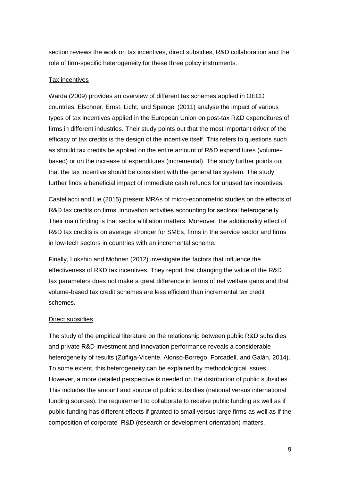section reviews the work on tax incentives, direct subsidies, R&D collaboration and the role of firm-specific heterogeneity for these three policy instruments.

#### Tax incentives

Warda (2009) provides an overview of different tax schemes applied in OECD countries. Elschner, Ernst, Licht, and Spengel (2011) analyse the impact of various types of tax incentives applied in the European Union on post-tax R&D expenditures of firms in different industries. Their study points out that the most important driver of the efficacy of tax credits is the design of the incentive itself. This refers to questions such as should tax credits be applied on the entire amount of R&D expenditures (volumebased) or on the increase of expenditures (incremental). The study further points out that the tax incentive should be consistent with the general tax system. The study further finds a beneficial impact of immediate cash refunds for unused tax incentives.

Castellacci and Lie (2015) present MRAs of micro-econometric studies on the effects of R&D tax credits on firms' innovation activities accounting for sectoral heterogeneity. Their main finding is that sector affiliation matters. Moreover, the additionality effect of R&D tax credits is on average stronger for SMEs, firms in the service sector and firms in low-tech sectors in countries with an incremental scheme.

Finally, Lokshin and Mohnen (2012) investigate the factors that influence the effectiveness of R&D tax incentives. They report that changing the value of the R&D tax parameters does not make a great difference in terms of net welfare gains and that volume-based tax credit schemes are less efficient than incremental tax credit schemes.

#### Direct subsidies

The study of the empirical literature on the relationship between public R&D subsidies and private R&D investment and innovation performance reveals a considerable heterogeneity of results (Zúñiga-Vicente, Alonso-Borrego, Forcadell, and Galán, 2014). To some extent, this heterogeneity can be explained by methodological issues. However, a more detailed perspective is needed on the distribution of public subsidies. This includes the amount and source of public subsidies (national versus international funding sources), the requirement to collaborate to receive public funding as well as if public funding has different effects if granted to small versus large firms as well as if the composition of corporate R&D (research or development orientation) matters.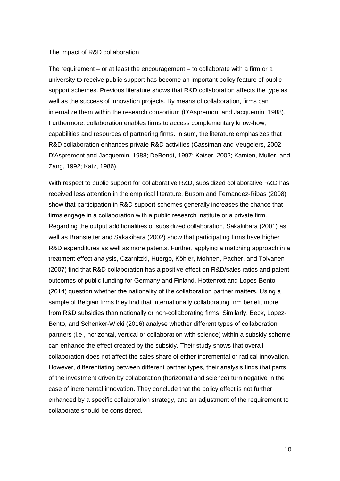#### The impact of R&D collaboration

The requirement  $-$  or at least the encouragement  $-$  to collaborate with a firm or a university to receive public support has become an important policy feature of public support schemes. Previous literature shows that R&D collaboration affects the type as well as the success of innovation projects. By means of collaboration, firms can internalize them within the research consortium (D'Aspremont and Jacquemin, 1988). Furthermore, collaboration enables firms to access complementary know-how, capabilities and resources of partnering firms. In sum, the literature emphasizes that R&D collaboration enhances private R&D activities (Cassiman and Veugelers, 2002; D'Aspremont and Jacquemin, 1988; DeBondt, 1997; Kaiser, 2002; Kamien, Muller, and Zang, 1992; Katz, 1986).

With respect to public support for collaborative R&D, subsidized collaborative R&D has received less attention in the empirical literature. Busom and Fernandez-Ribas (2008) show that participation in R&D support schemes generally increases the chance that firms engage in a collaboration with a public research institute or a private firm. Regarding the output additionalities of subsidized collaboration, Sakakibara (2001) as well as Branstetter and Sakakibara (2002) show that participating firms have higher R&D expenditures as well as more patents. Further, applying a matching approach in a treatment effect analysis, Czarnitzki, Huergo, Köhler, Mohnen, Pacher, and Toivanen (2007) find that R&D collaboration has a positive effect on R&D/sales ratios and patent outcomes of public funding for Germany and Finland. Hottenrott and Lopes-Bento (2014) question whether the nationality of the collaboration partner matters. Using a sample of Belgian firms they find that internationally collaborating firm benefit more from R&D subsidies than nationally or non-collaborating firms. Similarly, Beck, Lopez-Bento, and Schenker-Wicki (2016) analyse whether different types of collaboration partners (i.e., horizontal, vertical or collaboration with science) within a subsidy scheme can enhance the effect created by the subsidy. Their study shows that overall collaboration does not affect the sales share of either incremental or radical innovation. However, differentiating between different partner types, their analysis finds that parts of the investment driven by collaboration (horizontal and science) turn negative in the case of incremental innovation. They conclude that the policy effect is not further enhanced by a specific collaboration strategy, and an adjustment of the requirement to collaborate should be considered.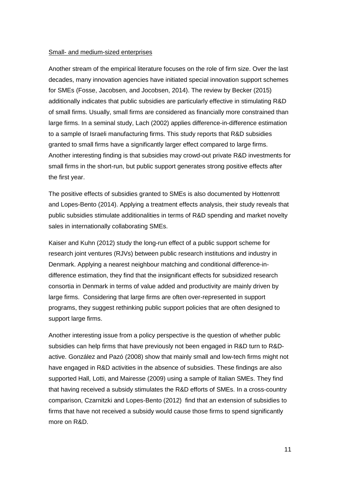#### Small- and medium-sized enterprises

Another stream of the empirical literature focuses on the role of firm size. Over the last decades, many innovation agencies have initiated special innovation support schemes for SMEs (Fosse, Jacobsen, and Jocobsen, 2014). The review by Becker (2015) additionally indicates that public subsidies are particularly effective in stimulating R&D of small firms. Usually, small firms are considered as financially more constrained than large firms. In a seminal study, Lach (2002) applies difference-in-difference estimation to a sample of Israeli manufacturing firms. This study reports that R&D subsidies granted to small firms have a significantly larger effect compared to large firms. Another interesting finding is that subsidies may crowd-out private R&D investments for small firms in the short-run, but public support generates strong positive effects after the first year.

The positive effects of subsidies granted to SMEs is also documented by Hottenrott and Lopes-Bento (2014). Applying a treatment effects analysis, their study reveals that public subsidies stimulate additionalities in terms of R&D spending and market novelty sales in internationally collaborating SMEs.

Kaiser and Kuhn (2012) study the long-run effect of a public support scheme for research joint ventures (RJVs) between public research institutions and industry in Denmark. Applying a nearest neighbour matching and conditional difference-indifference estimation, they find that the insignificant effects for subsidized research consortia in Denmark in terms of value added and productivity are mainly driven by large firms. Considering that large firms are often over-represented in support programs, they suggest rethinking public support policies that are often designed to support large firms.

Another interesting issue from a policy perspective is the question of whether public subsidies can help firms that have previously not been engaged in R&D turn to R&Dactive. González and Pazó (2008) show that mainly small and low-tech firms might not have engaged in R&D activities in the absence of subsidies. These findings are also supported Hall, Lotti, and Mairesse (2009) using a sample of Italian SMEs. They find that having received a subsidy stimulates the R&D efforts of SMEs. In a cross-country comparison, Czarnitzki and Lopes-Bento (2012) find that an extension of subsidies to firms that have not received a subsidy would cause those firms to spend significantly more on R&D.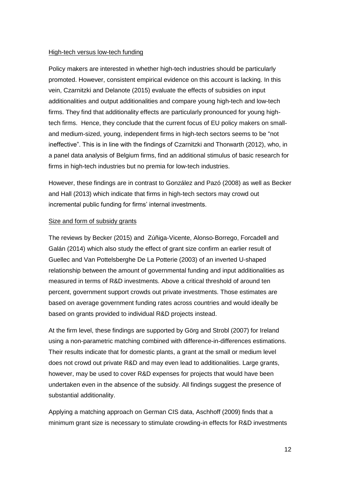#### High-tech versus low-tech funding

Policy makers are interested in whether high-tech industries should be particularly promoted. However, consistent empirical evidence on this account is lacking. In this vein, Czarnitzki and Delanote (2015) evaluate the effects of subsidies on input additionalities and output additionalities and compare young high-tech and low-tech firms. They find that additionality effects are particularly pronounced for young hightech firms. Hence, they conclude that the current focus of EU policy makers on smalland medium-sized, young, independent firms in high-tech sectors seems to be "not ineffective". This is in line with the findings of Czarnitzki and Thorwarth (2012), who, in a panel data analysis of Belgium firms, find an additional stimulus of basic research for firms in high-tech industries but no premia for low-tech industries.

However, these findings are in contrast to González and Pazó (2008) as well as Becker and Hall (2013) which indicate that firms in high-tech sectors may crowd out incremental public funding for firms' internal investments.

#### Size and form of subsidy grants

The reviews by Becker (2015) and Zúñiga‐Vicente, Alonso‐Borrego, Forcadell and Galán (2014) which also study the effect of grant size confirm an earlier result of Guellec and Van Pottelsberghe De La Potterie (2003) of an inverted U-shaped relationship between the amount of governmental funding and input additionalities as measured in terms of R&D investments. Above a critical threshold of around ten percent, government support crowds out private investments. Those estimates are based on average government funding rates across countries and would ideally be based on grants provided to individual R&D projects instead.

At the firm level, these findings are supported by Görg and Strobl (2007) for Ireland using a non-parametric matching combined with difference-in-differences estimations. Their results indicate that for domestic plants, a grant at the small or medium level does not crowd out private R&D and may even lead to additionalities. Large grants, however, may be used to cover R&D expenses for projects that would have been undertaken even in the absence of the subsidy. All findings suggest the presence of substantial additionality.

Applying a matching approach on German CIS data, Aschhoff (2009) finds that a minimum grant size is necessary to stimulate crowding-in effects for R&D investments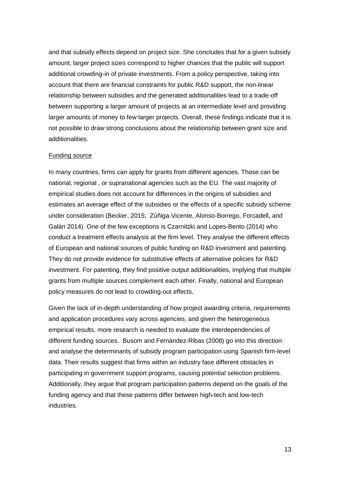and that subsidy effects depend on project size. She concludes that for a given subsidy amount, larger project sizes correspond to higher chances that the public will support additional crowding-in of private investments. From a policy perspective, taking into account that there are financial constraints for public R&D support, the non-linear relationship between subsidies and the generated additionalities lead to a trade-off between supporting a larger amount of projects at an intermediate level and providing larger amounts of money to few larger projects. Overall, these findings indicate that it is not possible to draw strong conclusions about the relationship between grant size and additionalities.

#### Funding source

In many countries, firms can apply for grants from different agencies. Those can be national, regional , or supranational agencies such as the EU. The vast majority of empirical studies does not account for differences in the origins of subsidies and estimates an average effect of the subsidies or the effects of a specific subsidy scheme under consideration (Becker, 2015; Zúñiga‐Vicente, Alonso‐Borrego, Forcadell, and Galán 2014). One of the few exceptions is Czarnitzki and Lopes-Bento (2014) who conduct a treatment effects analysis at the firm level. They analyse the different effects of European and national sources of public funding on R&D investment and patenting. They do not provide evidence for substitutive effects of alternative policies for R&D investment. For patenting, they find positive output additionalities, implying that multiple grants from multiple sources complement each other. Finally, national and European policy measures do not lead to crowding-out effects.

Given the lack of in-depth understanding of how project awarding criteria, requirements and application procedures vary across agencies, and given the heterogeneous empirical results, more research is needed to evaluate the interdependencies of different funding sources. Busom and Fernández-Ribas (2008) go into this direction and analyse the determinants of subsidy program participation using Spanish firm-level data. Their results suggest that firms within an industry face different obstacles in participating in government support programs, causing potential selection problems. Additionally, they argue that program participation patterns depend on the goals of the funding agency and that these patterns differ between high-tech and low-tech industries.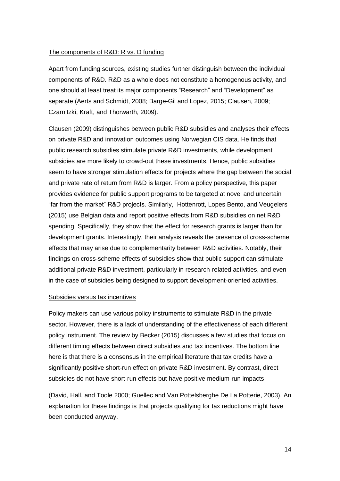#### The components of R&D: R vs. D funding

Apart from funding sources, existing studies further distinguish between the individual components of R&D. R&D as a whole does not constitute a homogenous activity, and one should at least treat its major components "Research" and "Development" as separate (Aerts and Schmidt, 2008; Barge-Gil and Lopez, 2015; Clausen, 2009; Czarnitzki, Kraft, and Thorwarth, 2009).

Clausen (2009) distinguishes between public R&D subsidies and analyses their effects on private R&D and innovation outcomes using Norwegian CIS data. He finds that public research subsidies stimulate private R&D investments, while development subsidies are more likely to crowd-out these investments. Hence, public subsidies seem to have stronger stimulation effects for projects where the gap between the social and private rate of return from R&D is larger. From a policy perspective, this paper provides evidence for public support programs to be targeted at novel and uncertain "far from the market" R&D projects. Similarly, Hottenrott, Lopes Bento, and Veugelers (2015) use Belgian data and report positive effects from R&D subsidies on net R&D spending. Specifically, they show that the effect for research grants is larger than for development grants. Interestingly, their analysis reveals the presence of cross-scheme effects that may arise due to complementarity between R&D activities. Notably, their findings on cross-scheme effects of subsidies show that public support can stimulate additional private R&D investment, particularly in research-related activities, and even in the case of subsidies being designed to support development-oriented activities.

#### Subsidies versus tax incentives

Policy makers can use various policy instruments to stimulate R&D in the private sector. However, there is a lack of understanding of the effectiveness of each different policy instrument. The review by Becker (2015) discusses a few studies that focus on different timing effects between direct subsidies and tax incentives. The bottom line here is that there is a consensus in the empirical literature that tax credits have a significantly positive short-run effect on private R&D investment. By contrast, direct subsidies do not have short-run effects but have positive medium-run impacts

(David, Hall, and Toole 2000; Guellec and Van Pottelsberghe De La Potterie, 2003). An explanation for these findings is that projects qualifying for tax reductions might have been conducted anyway.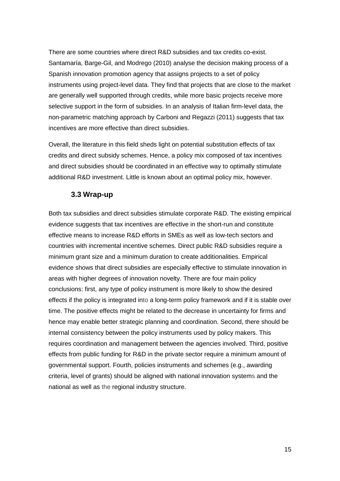There are some countries where direct R&D subsidies and tax credits co-exist. Santamaría, Barge-Gil, and Modrego (2010) analyse the decision making process of a Spanish innovation promotion agency that assigns projects to a set of policy instruments using project-level data. They find that projects that are close to the market are generally well supported through credits, while more basic projects receive more selective support in the form of subsidies. In an analysis of Italian firm-level data, the non-parametric matching approach by Carboni and Regazzi (2011) suggests that tax incentives are more effective than direct subsidies.

Overall, the literature in this field sheds light on potential substitution effects of tax credits and direct subsidy schemes. Hence, a policy mix composed of tax incentives and direct subsidies should be coordinated in an effective way to optimally stimulate additional R&D investment. Little is known about an optimal policy mix, however.

### **3.3 Wrap-up**

Both tax subsidies and direct subsidies stimulate corporate R&D. The existing empirical evidence suggests that tax incentives are effective in the short-run and constitute effective means to increase R&D efforts in SMEs as well as low-tech sectors and countries with incremental incentive schemes. Direct public R&D subsidies require a minimum grant size and a minimum duration to create additionalities. Empirical evidence shows that direct subsidies are especially effective to stimulate innovation in areas with higher degrees of innovation novelty. There are four main policy conclusions: first, any type of policy instrument is more likely to show the desired effects if the policy is integrated into a long-term policy framework and if it is stable over time. The positive effects might be related to the decrease in uncertainty for firms and hence may enable better strategic planning and coordination. Second, there should be internal consistency between the policy instruments used by policy makers. This requires coordination and management between the agencies involved. Third, positive effects from public funding for R&D in the private sector require a minimum amount of governmental support. Fourth, policies instruments and schemes (e.g., awarding criteria, level of grants) should be aligned with national innovation systems and the national as well as the regional industry structure.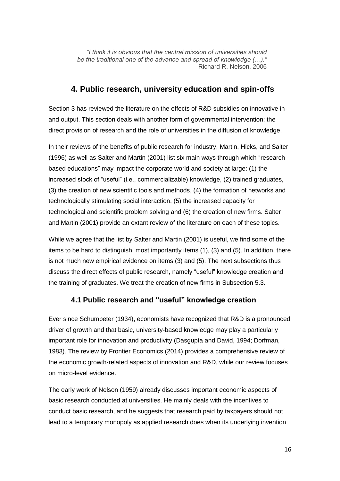*"I think it is obvious that the central mission of universities should be the traditional one of the advance and spread of knowledge (…)."* –Richard R. Nelson, 2006

## **4. Public research, university education and spin-offs**

Section 3 has reviewed the literature on the effects of R&D subsidies on innovative inand output. This section deals with another form of governmental intervention: the direct provision of research and the role of universities in the diffusion of knowledge.

In their reviews of the benefits of public research for industry, Martin, Hicks, and Salter (1996) as well as Salter and Martin (2001) list six main ways through which "research based educations" may impact the corporate world and society at large: (1) the increased stock of "useful" (i.e., commercializable) knowledge, (2) trained graduates, (3) the creation of new scientific tools and methods, (4) the formation of networks and technologically stimulating social interaction, (5) the increased capacity for technological and scientific problem solving and (6) the creation of new firms. Salter and Martin (2001) provide an extant review of the literature on each of these topics.

While we agree that the list by Salter and Martin (2001) is useful, we find some of the items to be hard to distinguish, most importantly items (1), (3) and (5). In addition, there is not much new empirical evidence on items (3) and (5). The next subsections thus discuss the direct effects of public research, namely "useful" knowledge creation and the training of graduates. We treat the creation of new firms in Subsection 5.3.

# **4.1 Public research and "useful" knowledge creation**

Ever since Schumpeter (1934), economists have recognized that R&D is a pronounced driver of growth and that basic, university-based knowledge may play a particularly important role for innovation and productivity (Dasgupta and David, 1994; Dorfman, 1983). The review by Frontier Economics (2014) provides a comprehensive review of the economic growth-related aspects of innovation and R&D, while our review focuses on micro-level evidence.

The early work of Nelson (1959) already discusses important economic aspects of basic research conducted at universities. He mainly deals with the incentives to conduct basic research, and he suggests that research paid by taxpayers should not lead to a temporary monopoly as applied research does when its underlying invention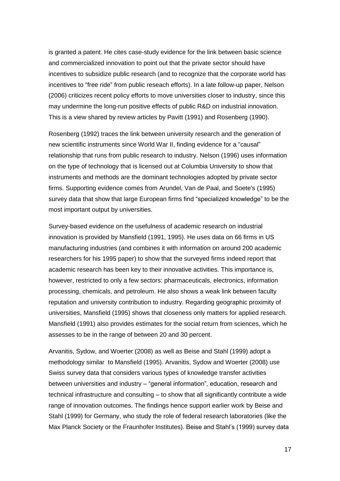is granted a patent. He cites case-study evidence for the link between basic science and commercialized innovation to point out that the private sector should have incentives to subsidize public research (and to recognize that the corporate world has incentives to "free ride" from public reseach efforts). In a late follow-up paper, Nelson (2006) criticizes recent policy efforts to move universities closer to industry, since this may undermine the long-run positive effects of public R&D on industrial innovation. This is a view shared by review articles by Pavitt (1991) and Rosenberg (1990).

Rosenberg (1992) traces the link between university research and the generation of new scientific instruments since World War II, finding evidence for a "causal" relationship that runs from public research to industry. Nelson (1996) uses information on the type of technology that is licensed out at Columbia University to show that instruments and methods are the dominant technologies adopted by private sector firms. Supporting evidence comes from Arundel, Van de Paal, and Soete's (1995) survey data that show that large European firms find "specialized knowledge" to be the most important output by universities.

Survey-based evidence on the usefulness of academic research on industrial innovation is provided by Mansfield (1991, 1995). He uses data on 66 firms in US manufacturing industries (and combines it with information on around 200 academic researchers for his 1995 paper) to show that the surveyed firms indeed report that academic research has been key to their innovative activities. This importance is, however, restricted to only a few sectors: pharmaceuticals, electronics, information processing, chemicals, and petroleum. He also shows a weak link between faculty reputation and university contribution to industry. Regarding geographic proximity of universities, Mansfield (1995) shows that closeness only matters for applied research. Mansfield (1991) also provides estimates for the social return from sciences, which he assesses to be in the range of between 20 and 30 percent.

Arvanitis, Sydow, and Woerter (2008) as well as Beise and Stahl (1999) adopt a methodology similar to Mansfield (1995). Arvanitis, Sydow and Woerter (2008) use Swiss survey data that considers various types of knowledge transfer activities between universities and industry – "general information", education, research and technical infrastructure and consulting – to show that all significantly contribute a wide range of innovation outcomes. The findings hence support earlier work by Beise and Stahl (1999) for Germany, who study the role of federal research laboratories (like the Max Planck Society or the Fraunhofer Institutes). Beise and Stahl's (1999) survey data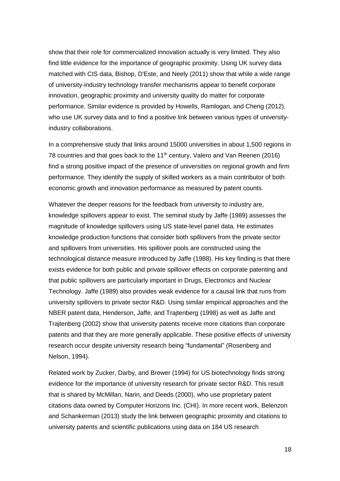show that their role for commercialized innovation actually is very limited. They also find little evidence for the importance of geographic proximity. Using UK survey data matched with CIS data, Bishop, D'Este, and Neely (2011) show that while a wide range of university-industry technology transfer mechanisms appear to benefit corporate innovation, geographic proximity and university quality do matter for corporate performance. Similar evidence is provided by Howells, Ramlogan, and Cheng (2012), who use UK survey data and to find a positive link between various types of universityindustry collaborations.

In a comprehensive study that links around 15000 universities in about 1,500 regions in 78 countries and that goes back to the 11<sup>th</sup> century, Valero and Van Reenen (2016) find a strong positive impact of the presence of universities on regional growth and firm performance. They identify the supply of skilled workers as a main contributor of both economic growth and innovation performance as measured by patent counts.

Whatever the deeper reasons for the feedback from university to industry are, knowledge spillovers appear to exist. The seminal study by Jaffe (1989) assesses the magnitude of knowledge spillovers using US state-level panel data. He estimates knowledge production functions that consider both spillovers from the private sector and spillovers from universities. His spillover pools are constructed using the technological distance measure introduced by Jaffe (1988). His key finding is that there exists evidence for both public and private spillover effects on corporate patenting and that public spillovers are particularly important in Drugs, Electronics and Nuclear Technology. Jaffe (1989) also provides weak evidence for a causal link that runs from university spillovers to private sector R&D. Using similar empirical approaches and the NBER patent data, Henderson, Jaffe, and Trajtenberg (1998) as well as Jaffe and Trajtenberg (2002) show that university patents receive more citations than corporate patents and that they are more generally applicable. These positive effects of university research occur despite university research being "fundamental" (Rosenberg and Nelson, 1994).

Related work by Zucker, Darby, and Brewer (1994) for US biotechnology finds strong evidence for the importance of university research for private sector R&D. This result that is shared by McMillan, Narin, and Deeds (2000), who use proprietary patent citations data owned by Computer Horizons Inc. (CHI). In more recent work, Belenzon and Schankerman (2013) study the link between geographic proximity and citations to university patents and scientific publications using data on 184 US research

18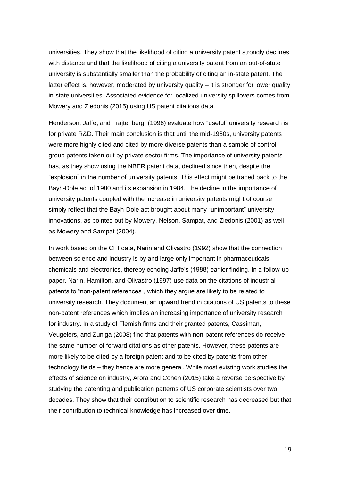universities. They show that the likelihood of citing a university patent strongly declines with distance and that the likelihood of citing a university patent from an out-of-state university is substantially smaller than the probability of citing an in-state patent. The latter effect is, however, moderated by university quality – it is stronger for lower quality in-state universities. Associated evidence for localized university spillovers comes from Mowery and Ziedonis (2015) using US patent citations data.

Henderson, Jaffe, and Trajtenberg (1998) evaluate how "useful" university research is for private R&D. Their main conclusion is that until the mid-1980s, university patents were more highly cited and cited by more diverse patents than a sample of control group patents taken out by private sector firms. The importance of university patents has, as they show using the NBER patent data, declined since then, despite the "explosion" in the number of university patents. This effect might be traced back to the Bayh-Dole act of 1980 and its expansion in 1984. The decline in the importance of university patents coupled with the increase in university patents might of course simply reflect that the Bayh-Dole act brought about many "unimportant" university innovations, as pointed out by Mowery, Nelson, Sampat, and Ziedonis (2001) as well as Mowery and Sampat (2004).

In work based on the CHI data, Narin and Olivastro (1992) show that the connection between science and industry is by and large only important in pharmaceuticals, chemicals and electronics, thereby echoing Jaffe's (1988) earlier finding. In a follow-up paper, Narin, Hamilton, and Olivastro (1997) use data on the citations of industrial patents to "non-patent references", which they argue are likely to be related to university research. They document an upward trend in citations of US patents to these non-patent references which implies an increasing importance of university research for industry. In a study of Flemish firms and their granted patents, Cassiman, Veugelers, and Zuniga (2008) find that patents with non-patent references do receive the same number of forward citations as other patents. However, these patents are more likely to be cited by a foreign patent and to be cited by patents from other technology fields – they hence are more general. While most existing work studies the effects of science on industry, Arora and Cohen (2015) take a reverse perspective by studying the patenting and publication patterns of US corporate scientists over two decades. They show that their contribution to scientific research has decreased but that their contribution to technical knowledge has increased over time.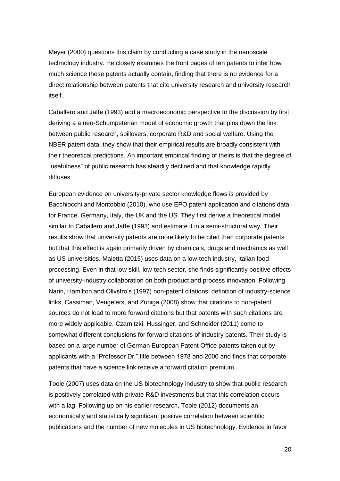Meyer (2000) questions this claim by conducting a case study in the nanoscale technology industry. He closely examines the front pages of ten patents to infer how much science these patents actually contain, finding that there is no evidence for a direct relationship between patents that cite university research and university research itself.

Caballero and Jaffe (1993) add a macroeconomic perspective to the discussion by first deriving a a neo-Schumpeterian model of economic growth that pins down the link between public research, spillovers, corporate R&D and social welfare. Using the NBER patent data, they show that their empirical results are broadly consistent with their theoretical predictions. An important empirical finding of theirs is that the degree of "usefulness" of public research has steadily declined and that knowledge rapidly diffuses.

European evidence on university-private sector knowledge flows is provided by Bacchiocchi and Montobbio (2010), who use EPO patent application and citations data for France, Germany, Italy, the UK and the US. They first derive a theoretical model similar to Caballero and Jaffe (1993) and estimate it in a semi-structural way. Their results show that university patents are more likely to be cited than corporate patents but that this effect is again primarily driven by chemicals, drugs and mechanics as well as US universities. Maietta (2015) uses data on a low-tech industry, Italian food processing. Even in that low skill, low-tech sector, she finds significantly positive effects of university-industry collaboration on both product and process innovation. Following Narin, Hamilton and Olivstro's (1997) non-patent citations' definition of industry-science links, Cassiman, Veugelers, and Zuniga (2008) show that citations to non-patent sources do not lead to more forward citations but that patents with such citations are more widely applicable. Czarnitzki, Hussinger, and Schneider (2011) come to somewhat different conclusions for forward citations of industry patents. Their study is based on a large number of German European Patent Office patents taken out by applicants with a "Professor Dr." title between 1978 and 2006 and finds that corporate patents that have a science link receive a forward citation premium.

Toole (2007) uses data on the US biotechnology industry to show that public research is positively correlated with private R&D investments but that this correlation occurs with a lag. Following up on his earlier research, Toole (2012) documents an economically and statistically significant positive correlation between scientific publications and the number of new molecules in US biotechnology. Evidence in favor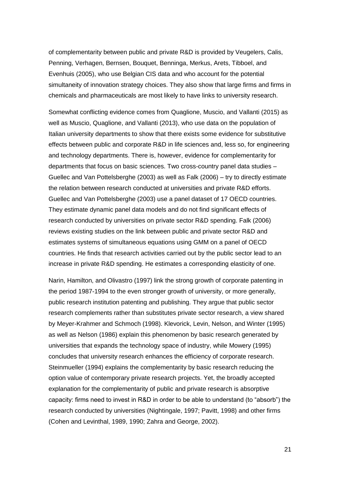of complementarity between public and private R&D is provided by Veugelers, Calis, Penning, Verhagen, Bernsen, Bouquet, Benninga, Merkus, Arets, Tibboel, and Evenhuis (2005), who use Belgian CIS data and who account for the potential simultaneity of innovation strategy choices. They also show that large firms and firms in chemicals and pharmaceuticals are most likely to have links to university research.

Somewhat conflicting evidence comes from Quaglione, Muscio, and Vallanti (2015) as well as Muscio, Quaglione, and Vallanti (2013), who use data on the population of Italian university departments to show that there exists some evidence for substitutive effects between public and corporate R&D in life sciences and, less so, for engineering and technology departments. There is, however, evidence for complementarity for departments that focus on basic sciences. Two cross-country panel data studies – Guellec and Van Pottelsberghe (2003) as well as Falk (2006) – try to directly estimate the relation between research conducted at universities and private R&D efforts. Guellec and Van Pottelsberghe (2003) use a panel dataset of 17 OECD countries. They estimate dynamic panel data models and do not find significant effects of research conducted by universities on private sector R&D spending. Falk (2006) reviews existing studies on the link between public and private sector R&D and estimates systems of simultaneous equations using GMM on a panel of OECD countries. He finds that research activities carried out by the public sector lead to an increase in private R&D spending. He estimates a corresponding elasticity of one.

Narin, Hamilton, and Olivastro (1997) link the strong growth of corporate patenting in the period 1987-1994 to the even stronger growth of university, or more generally, public research institution patenting and publishing. They argue that public sector research complements rather than substitutes private sector research, a view shared by Meyer-Krahmer and Schmoch (1998). Klevorick, Levin, Nelson, and Winter (1995) as well as Nelson (1986) explain this phenomenon by basic research generated by universities that expands the technology space of industry, while Mowery (1995) concludes that university research enhances the efficiency of corporate research. Steinmueller (1994) explains the complementarity by basic research reducing the option value of contemporary private research projects. Yet, the broadly accepted explanation for the complementarity of public and private research is absorptive capacity: firms need to invest in R&D in order to be able to understand (to "absorb") the research conducted by universities (Nightingale, 1997; Pavitt, 1998) and other firms (Cohen and Levinthal, 1989, 1990; Zahra and George, 2002).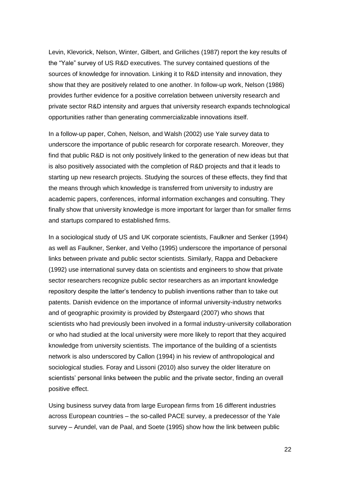Levin, Klevorick, Nelson, Winter, Gilbert, and Griliches (1987) report the key results of the "Yale" survey of US R&D executives. The survey contained questions of the sources of knowledge for innovation. Linking it to R&D intensity and innovation, they show that they are positively related to one another. In follow-up work, Nelson (1986) provides further evidence for a positive correlation between university research and private sector R&D intensity and argues that university research expands technological opportunities rather than generating commercializable innovations itself.

In a follow-up paper, Cohen, Nelson, and Walsh (2002) use Yale survey data to underscore the importance of public research for corporate research. Moreover, they find that public R&D is not only positively linked to the generation of new ideas but that is also positively associated with the completion of R&D projects and that it leads to starting up new research projects. Studying the sources of these effects, they find that the means through which knowledge is transferred from university to industry are academic papers, conferences, informal information exchanges and consulting. They finally show that university knowledge is more important for larger than for smaller firms and startups compared to established firms.

In a sociological study of US and UK corporate scientists, Faulkner and Senker (1994) as well as Faulkner, Senker, and Velho (1995) underscore the importance of personal links between private and public sector scientists. Similarly, Rappa and Debackere (1992) use international survey data on scientists and engineers to show that private sector researchers recognize public sector researchers as an important knowledge repository despite the latter's tendency to publish inventions rather than to take out patents. Danish evidence on the importance of informal university-industry networks and of geographic proximity is provided by Østergaard (2007) who shows that scientists who had previously been involved in a formal industry-university collaboration or who had studied at the local university were more likely to report that they acquired knowledge from university scientists. The importance of the building of a scientists network is also underscored by Callon (1994) in his review of anthropological and sociological studies. Foray and Lissoni (2010) also survey the older literature on scientists' personal links between the public and the private sector, finding an overall positive effect.

Using business survey data from large European firms from 16 different industries across European countries – the so-called PACE survey, a predecessor of the Yale survey – Arundel, van de Paal, and Soete (1995) show how the link between public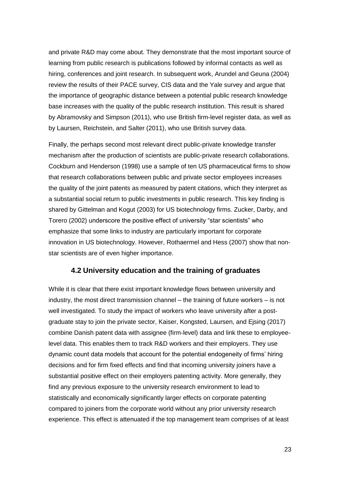and private R&D may come about. They demonstrate that the most important source of learning from public research is publications followed by informal contacts as well as hiring, conferences and joint research. In subsequent work, Arundel and Geuna (2004) review the results of their PACE survey, CIS data and the Yale survey and argue that the importance of geographic distance between a potential public research knowledge base increases with the quality of the public research institution. This result is shared by Abramovsky and Simpson (2011), who use British firm-level register data, as well as by Laursen, Reichstein, and Salter (2011), who use British survey data.

Finally, the perhaps second most relevant direct public-private knowledge transfer mechanism after the production of scientists are public-private research collaborations. Cockburn and Henderson (1998) use a sample of ten US pharmaceutical firms to show that research collaborations between public and private sector employees increases the quality of the joint patents as measured by patent citations, which they interpret as a substantial social return to public investments in public research. This key finding is shared by Gittelman and Kogut (2003) for US biotechnology firms. Zucker, Darby, and Torero (2002) underscore the positive effect of university "star scientists" who emphasize that some links to industry are particularly important for corporate innovation in US biotechnology. However, Rothaermel and Hess (2007) show that nonstar scientists are of even higher importance.

### **4.2 University education and the training of graduates**

While it is clear that there exist important knowledge flows between university and industry, the most direct transmission channel – the training of future workers – is not well investigated. To study the impact of workers who leave university after a postgraduate stay to join the private sector, Kaiser, Kongsted, Laursen, and Ejsing (2017) combine Danish patent data with assignee (firm-level) data and link these to employeelevel data. This enables them to track R&D workers and their employers. They use dynamic count data models that account for the potential endogeneity of firms' hiring decisions and for firm fixed effects and find that incoming university joiners have a substantial positive effect on their employers patenting activity. More generally, they find any previous exposure to the university research environment to lead to statistically and economically significantly larger effects on corporate patenting compared to joiners from the corporate world without any prior university research experience. This effect is attenuated if the top management team comprises of at least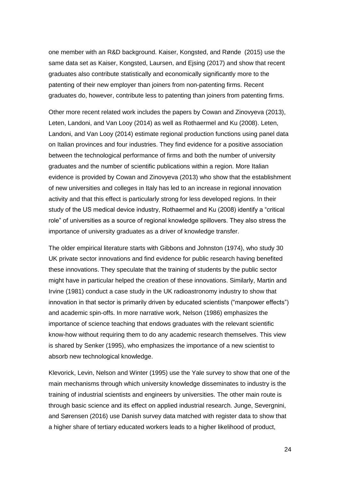one member with an R&D background. Kaiser, Kongsted, and Rønde (2015) use the same data set as Kaiser, Kongsted, Laursen, and Ejsing (2017) and show that recent graduates also contribute statistically and economically significantly more to the patenting of their new employer than joiners from non-patenting firms. Recent graduates do, however, contribute less to patenting than joiners from patenting firms.

Other more recent related work includes the papers by Cowan and Zinovyeva (2013), Leten, Landoni, and Van Looy (2014) as well as Rothaermel and Ku (2008). Leten, Landoni, and Van Looy (2014) estimate regional production functions using panel data on Italian provinces and four industries. They find evidence for a positive association between the technological performance of firms and both the number of university graduates and the number of scientific publications within a region. More Italian evidence is provided by Cowan and Zinovyeva (2013) who show that the establishment of new universities and colleges in Italy has led to an increase in regional innovation activity and that this effect is particularly strong for less developed regions. In their study of the US medical device industry, Rothaermel and Ku (2008) identify a "critical role" of universities as a source of regional knowledge spillovers. They also stress the importance of university graduates as a driver of knowledge transfer.

The older empirical literature starts with Gibbons and Johnston (1974), who study 30 UK private sector innovations and find evidence for public research having benefited these innovations. They speculate that the training of students by the public sector might have in particular helped the creation of these innovations. Similarly, Martin and Irvine (1981) conduct a case study in the UK radioastronomy industry to show that innovation in that sector is primarily driven by educated scientists ("manpower effects") and academic spin-offs. In more narrative work, Nelson (1986) emphasizes the importance of science teaching that endows graduates with the relevant scientific know-how without requiring them to do any academic research themselves. This view is shared by Senker (1995), who emphasizes the importance of a new scientist to absorb new technological knowledge.

Klevorick, Levin, Nelson and Winter (1995) use the Yale survey to show that one of the main mechanisms through which university knowledge disseminates to industry is the training of industrial scientists and engineers by universities. The other main route is through basic science and its effect on applied industrial research. Junge, Severgnini, and Sørensen (2016) use Danish survey data matched with register data to show that a higher share of tertiary educated workers leads to a higher likelihood of product,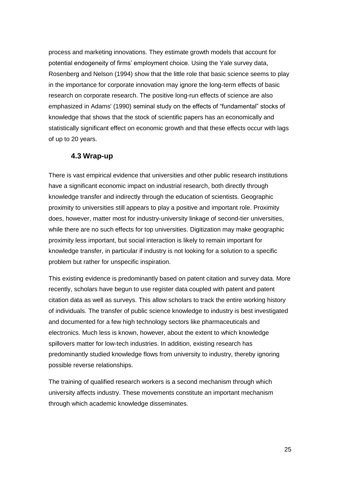process and marketing innovations. They estimate growth models that account for potential endogeneity of firms' employment choice. Using the Yale survey data, Rosenberg and Nelson (1994) show that the little role that basic science seems to play in the importance for corporate innovation may ignore the long-term effects of basic research on corporate research. The positive long-run effects of science are also emphasized in Adams' (1990) seminal study on the effects of "fundamental" stocks of knowledge that shows that the stock of scientific papers has an economically and statistically significant effect on economic growth and that these effects occur with lags of up to 20 years.

### **4.3 Wrap-up**

There is vast empirical evidence that universities and other public research institutions have a significant economic impact on industrial research, both directly through knowledge transfer and indirectly through the education of scientists. Geographic proximity to universities still appears to play a positive and important role. Proximity does, however, matter most for industry-university linkage of second-tier universities, while there are no such effects for top universities. Digitization may make geographic proximity less important, but social interaction is likely to remain important for knowledge transfer, in particular if industry is not looking for a solution to a specific problem but rather for unspecific inspiration.

This existing evidence is predominantly based on patent citation and survey data. More recently, scholars have begun to use register data coupled with patent and patent citation data as well as surveys. This allow scholars to track the entire working history of individuals. The transfer of public science knowledge to industry is best investigated and documented for a few high technology sectors like pharmaceuticals and electronics. Much less is known, however, about the extent to which knowledge spillovers matter for low-tech industries. In addition, existing research has predominantly studied knowledge flows from university to industry, thereby ignoring possible reverse relationships.

The training of qualified research workers is a second mechanism through which university affects industry. These movements constitute an important mechanism through which academic knowledge disseminates.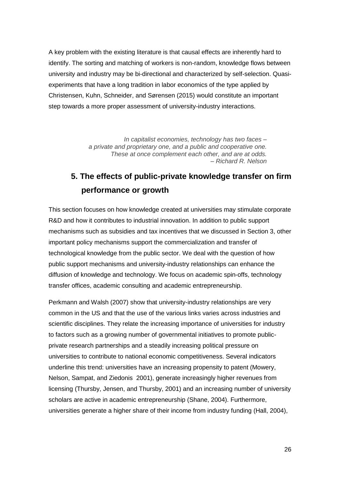A key problem with the existing literature is that causal effects are inherently hard to identify. The sorting and matching of workers is non-random, knowledge flows between university and industry may be bi-directional and characterized by self-selection. Quasiexperiments that have a long tradition in labor economics of the type applied by Christensen, Kuhn, Schneider, and Sørensen (2015) would constitute an important step towards a more proper assessment of university-industry interactions.

> *In capitalist economies, technology has two faces – a private and proprietary one, and a public and cooperative one. These at once complement each other, and are at odds. – Richard R. Nelson*

# **5. The effects of public-private knowledge transfer on firm performance or growth**

This section focuses on how knowledge created at universities may stimulate corporate R&D and how it contributes to industrial innovation. In addition to public support mechanisms such as subsidies and tax incentives that we discussed in Section 3, other important policy mechanisms support the commercialization and transfer of technological knowledge from the public sector. We deal with the question of how public support mechanisms and university-industry relationships can enhance the diffusion of knowledge and technology. We focus on academic spin-offs, technology transfer offices, academic consulting and academic entrepreneurship.

Perkmann and Walsh (2007) show that university-industry relationships are very common in the US and that the use of the various links varies across industries and scientific disciplines. They relate the increasing importance of universities for industry to factors such as a growing number of governmental initiatives to promote publicprivate research partnerships and a steadily increasing political pressure on universities to contribute to national economic competitiveness. Several indicators underline this trend: universities have an increasing propensity to patent (Mowery, Nelson, Sampat, and Ziedonis 2001), generate increasingly higher revenues from licensing (Thursby, Jensen, and Thursby, 2001) and an increasing number of university scholars are active in academic entrepreneurship (Shane, 2004). Furthermore, universities generate a higher share of their income from industry funding (Hall, 2004),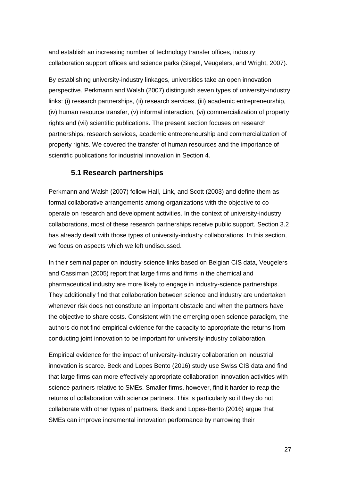and establish an increasing number of technology transfer offices, industry collaboration support offices and science parks (Siegel, Veugelers, and Wright, 2007).

By establishing university-industry linkages, universities take an open innovation perspective. Perkmann and Walsh (2007) distinguish seven types of university-industry links: (i) research partnerships, (ii) research services, (iii) academic entrepreneurship, (iv) human resource transfer, (v) informal interaction, (vi) commercialization of property rights and (vii) scientific publications. The present section focuses on research partnerships, research services, academic entrepreneurship and commercialization of property rights. We covered the transfer of human resources and the importance of scientific publications for industrial innovation in Section 4.

# **5.1 Research partnerships**

Perkmann and Walsh (2007) follow Hall, Link, and Scott (2003) and define them as formal collaborative arrangements among organizations with the objective to cooperate on research and development activities. In the context of university-industry collaborations, most of these research partnerships receive public support. Section 3.2 has already dealt with those types of university-industry collaborations. In this section, we focus on aspects which we left undiscussed.

In their seminal paper on industry-science links based on Belgian CIS data, Veugelers and Cassiman (2005) report that large firms and firms in the chemical and pharmaceutical industry are more likely to engage in industry-science partnerships. They additionally find that collaboration between science and industry are undertaken whenever risk does not constitute an important obstacle and when the partners have the objective to share costs. Consistent with the emerging open science paradigm, the authors do not find empirical evidence for the capacity to appropriate the returns from conducting joint innovation to be important for university-industry collaboration.

Empirical evidence for the impact of university-industry collaboration on industrial innovation is scarce. Beck and Lopes Bento (2016) study use Swiss CIS data and find that large firms can more effectively appropriate collaboration innovation activities with science partners relative to SMEs. Smaller firms, however, find it harder to reap the returns of collaboration with science partners. This is particularly so if they do not collaborate with other types of partners. Beck and Lopes-Bento (2016) argue that SMEs can improve incremental innovation performance by narrowing their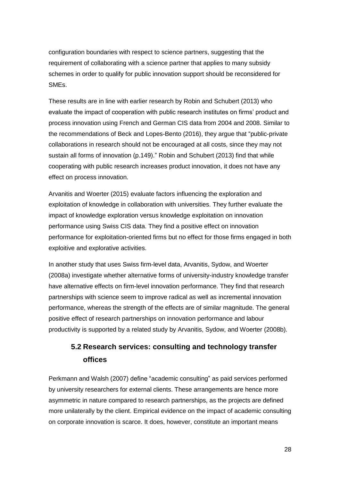configuration boundaries with respect to science partners, suggesting that the requirement of collaborating with a science partner that applies to many subsidy schemes in order to qualify for public innovation support should be reconsidered for SMEs.

These results are in line with earlier research by Robin and Schubert (2013) who evaluate the impact of cooperation with public research institutes on firms' product and process innovation using French and German CIS data from 2004 and 2008. Similar to the recommendations of Beck and Lopes-Bento (2016), they argue that "public-private collaborations in research should not be encouraged at all costs, since they may not sustain all forms of innovation (p.149)." Robin and Schubert (2013) find that while cooperating with public research increases product innovation, it does not have any effect on process innovation.

Arvanitis and Woerter (2015) evaluate factors influencing the exploration and exploitation of knowledge in collaboration with universities. They further evaluate the impact of knowledge exploration versus knowledge exploitation on innovation performance using Swiss CIS data. They find a positive effect on innovation performance for exploitation-oriented firms but no effect for those firms engaged in both exploitive and explorative activities.

In another study that uses Swiss firm-level data, Arvanitis, Sydow, and Woerter (2008a) investigate whether alternative forms of university-industry knowledge transfer have alternative effects on firm-level innovation performance. They find that research partnerships with science seem to improve radical as well as incremental innovation performance, whereas the strength of the effects are of similar magnitude. The general positive effect of research partnerships on innovation performance and labour productivity is supported by a related study by Arvanitis, Sydow, and Woerter (2008b).

# **5.2 Research services: consulting and technology transfer offices**

Perkmann and Walsh (2007) define "academic consulting" as paid services performed by university researchers for external clients. These arrangements are hence more asymmetric in nature compared to research partnerships, as the projects are defined more unilaterally by the client. Empirical evidence on the impact of academic consulting on corporate innovation is scarce. It does, however, constitute an important means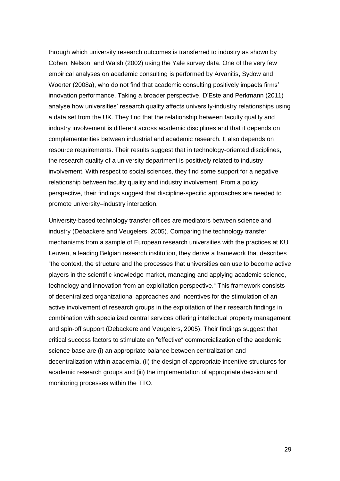through which university research outcomes is transferred to industry as shown by Cohen, Nelson, and Walsh (2002) using the Yale survey data. One of the very few empirical analyses on academic consulting is performed by Arvanitis, Sydow and Woerter (2008a), who do not find that academic consulting positively impacts firms' innovation performance. Taking a broader perspective, D'Este and Perkmann (2011) analyse how universities' research quality affects university-industry relationships using a data set from the UK. They find that the relationship between faculty quality and industry involvement is different across academic disciplines and that it depends on complementarities between industrial and academic research. It also depends on resource requirements. Their results suggest that in technology-oriented disciplines, the research quality of a university department is positively related to industry involvement. With respect to social sciences, they find some support for a negative relationship between faculty quality and industry involvement. From a policy perspective, their findings suggest that discipline-specific approaches are needed to promote university–industry interaction.

University-based technology transfer offices are mediators between science and industry (Debackere and Veugelers, 2005). Comparing the technology transfer mechanisms from a sample of European research universities with the practices at KU Leuven, a leading Belgian research institution, they derive a framework that describes "the context, the structure and the processes that universities can use to become active players in the scientific knowledge market, managing and applying academic science, technology and innovation from an exploitation perspective." This framework consists of decentralized organizational approaches and incentives for the stimulation of an active involvement of research groups in the exploitation of their research findings in combination with specialized central services offering intellectual property management and spin-off support (Debackere and Veugelers, 2005). Their findings suggest that critical success factors to stimulate an "effective" commercialization of the academic science base are (i) an appropriate balance between centralization and decentralization within academia, (ii) the design of appropriate incentive structures for academic research groups and (iii) the implementation of appropriate decision and monitoring processes within the TTO.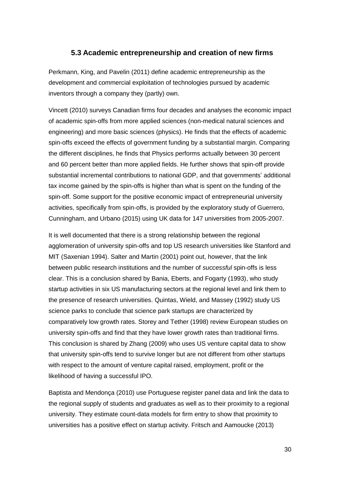## **5.3 Academic entrepreneurship and creation of new firms**

Perkmann, King, and Pavelin (2011) define academic entrepreneurship as the development and commercial exploitation of technologies pursued by academic inventors through a company they (partly) own.

Vincett (2010) surveys Canadian firms four decades and analyses the economic impact of academic spin-offs from more applied sciences (non-medical natural sciences and engineering) and more basic sciences (physics). He finds that the effects of academic spin-offs exceed the effects of government funding by a substantial margin. Comparing the different disciplines, he finds that Physics performs actually between 30 percent and 60 percent better than more applied fields. He further shows that spin-off provide substantial incremental contributions to national GDP, and that governments' additional tax income gained by the spin-offs is higher than what is spent on the funding of the spin-off. Some support for the positive economic impact of entrepreneurial university activities, specifically from spin-offs, is provided by the exploratory study of Guerrero, Cunningham, and Urbano (2015) using UK data for 147 universities from 2005-2007.

It is well documented that there is a strong relationship between the regional agglomeration of university spin-offs and top US research universities like Stanford and MIT (Saxenian 1994). Salter and Martin (2001) point out, however, that the link between public research institutions and the number of *successful* spin-offs is less clear. This is a conclusion shared by Bania, Eberts, and Fogarty (1993), who study startup activities in six US manufacturing sectors at the regional level and link them to the presence of research universities. Quintas, Wield, and Massey (1992) study US science parks to conclude that science park startups are characterized by comparatively low growth rates. Storey and Tether (1998) review European studies on university spin-offs and find that they have lower growth rates than traditional firms. This conclusion is shared by Zhang (2009) who uses US venture capital data to show that university spin-offs tend to survive longer but are not different from other startups with respect to the amount of venture capital raised, employment, profit or the likelihood of having a successful IPO.

Baptista and Mendonça (2010) use Portuguese register panel data and link the data to the regional supply of students and graduates as well as to their proximity to a regional university. They estimate count-data models for firm entry to show that proximity to universities has a positive effect on startup activity. Fritsch and Aamoucke (2013)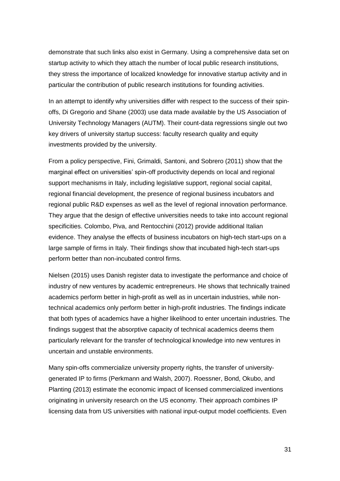demonstrate that such links also exist in Germany. Using a comprehensive data set on startup activity to which they attach the number of local public research institutions, they stress the importance of localized knowledge for innovative startup activity and in particular the contribution of public research institutions for founding activities.

In an attempt to identify why universities differ with respect to the success of their spinoffs, Di Gregorio and Shane (2003) use data made available by the US Association of University Technology Managers (AUTM). Their count-data regressions single out two key drivers of university startup success: faculty research quality and equity investments provided by the university.

From a policy perspective, Fini, Grimaldi, Santoni, and Sobrero (2011) show that the marginal effect on universities' spin-off productivity depends on local and regional support mechanisms in Italy, including legislative support, regional social capital, regional financial development, the presence of regional business incubators and regional public R&D expenses as well as the level of regional innovation performance. They argue that the design of effective universities needs to take into account regional specificities. Colombo, Piva, and Rentocchini (2012) provide additional Italian evidence. They analyse the effects of business incubators on high-tech start-ups on a large sample of firms in Italy. Their findings show that incubated high-tech start-ups perform better than non-incubated control firms.

Nielsen (2015) uses Danish register data to investigate the performance and choice of industry of new ventures by academic entrepreneurs. He shows that technically trained academics perform better in high-profit as well as in uncertain industries, while nontechnical academics only perform better in high-profit industries. The findings indicate that both types of academics have a higher likelihood to enter uncertain industries. The findings suggest that the absorptive capacity of technical academics deems them particularly relevant for the transfer of technological knowledge into new ventures in uncertain and unstable environments.

Many spin-offs commercialize university property rights, the transfer of universitygenerated IP to firms (Perkmann and Walsh, 2007). Roessner, Bond, Okubo, and Planting (2013) estimate the economic impact of licensed commercialized inventions originating in university research on the US economy. Their approach combines IP licensing data from US universities with national input-output model coefficients. Even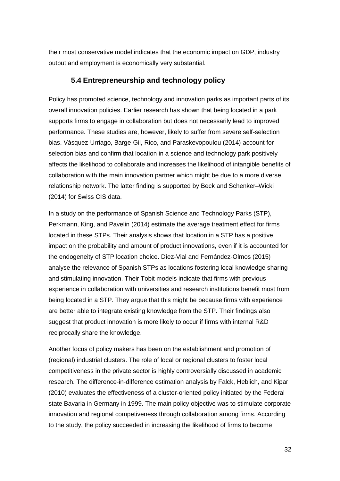their most conservative model indicates that the economic impact on GDP, industry output and employment is economically very substantial.

## **5.4 Entrepreneurship and technology policy**

Policy has promoted science, technology and innovation parks as important parts of its overall innovation policies. Earlier research has shown that being located in a park supports firms to engage in collaboration but does not necessarily lead to improved performance. These studies are, however, likely to suffer from severe self-selection bias. Vásquez-Urriago, Barge-Gil, Rico, and Paraskevopoulou (2014) account for selection bias and confirm that location in a science and technology park positively affects the likelihood to collaborate and increases the likelihood of intangible benefits of collaboration with the main innovation partner which might be due to a more diverse relationship network. The latter finding is supported by Beck and Schenker–Wicki (2014) for Swiss CIS data.

In a study on the performance of Spanish Science and Technology Parks (STP), Perkmann, King, and Pavelin (2014) estimate the average treatment effect for firms located in these STPs. Their analysis shows that location in a STP has a positive impact on the probability and amount of product innovations, even if it is accounted for the endogeneity of STP location choice. Díez-Vial and Fernández-Olmos (2015) analyse the relevance of Spanish STPs as locations fostering local knowledge sharing and stimulating innovation. Their Tobit models indicate that firms with previous experience in collaboration with universities and research institutions benefit most from being located in a STP. They argue that this might be because firms with experience are better able to integrate existing knowledge from the STP. Their findings also suggest that product innovation is more likely to occur if firms with internal R&D reciprocally share the knowledge.

Another focus of policy makers has been on the establishment and promotion of (regional) industrial clusters. The role of local or regional clusters to foster local competitiveness in the private sector is highly controversially discussed in academic research. The difference-in-difference estimation analysis by Falck, Heblich, and Kipar (2010) evaluates the effectiveness of a cluster-oriented policy initiated by the Federal state Bavaria in Germany in 1999. The main policy objective was to stimulate corporate innovation and regional competiveness through collaboration among firms. According to the study, the policy succeeded in increasing the likelihood of firms to become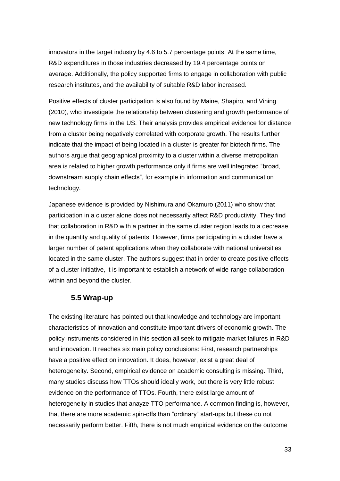innovators in the target industry by 4.6 to 5.7 percentage points. At the same time, R&D expenditures in those industries decreased by 19.4 percentage points on average. Additionally, the policy supported firms to engage in collaboration with public research institutes, and the availability of suitable R&D labor increased.

Positive effects of cluster participation is also found by Maine, Shapiro, and Vining (2010), who investigate the relationship between clustering and growth performance of new technology firms in the US. Their analysis provides empirical evidence for distance from a cluster being negatively correlated with corporate growth. The results further indicate that the impact of being located in a cluster is greater for biotech firms. The authors argue that geographical proximity to a cluster within a diverse metropolitan area is related to higher growth performance only if firms are well integrated "broad, downstream supply chain effects", for example in information and communication technology.

Japanese evidence is provided by Nishimura and Okamuro (2011) who show that participation in a cluster alone does not necessarily affect R&D productivity. They find that collaboration in R&D with a partner in the same cluster region leads to a decrease in the quantity and quality of patents. However, firms participating in a cluster have a larger number of patent applications when they collaborate with national universities located in the same cluster. The authors suggest that in order to create positive effects of a cluster initiative, it is important to establish a network of wide-range collaboration within and beyond the cluster.

## **5.5 Wrap-up**

The existing literature has pointed out that knowledge and technology are important characteristics of innovation and constitute important drivers of economic growth. The policy instruments considered in this section all seek to mitigate market failures in R&D and innovation. It reaches six main policy conclusions: First, research partnerships have a positive effect on innovation. It does, however, exist a great deal of heterogeneity. Second, empirical evidence on academic consulting is missing. Third, many studies discuss how TTOs should ideally work, but there is very little robust evidence on the performance of TTOs. Fourth, there exist large amount of heterogeneity in studies that anayze TTO performance. A common finding is, however, that there are more academic spin-offs than "ordinary" start-ups but these do not necessarily perform better. Fifth, there is not much empirical evidence on the outcome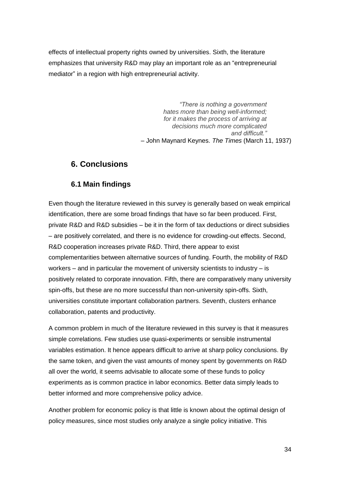effects of intellectual property rights owned by universities. Sixth, the literature emphasizes that university R&D may play an important role as an "entrepreneurial mediator" in a region with high entrepreneurial activity.

> *"There is nothing a government hates more than being well-informed; for it makes the process of arriving at decisions much more complicated and difficult."* – John Maynard Keynes. *The Times* (March 11, 1937)

# **6. Conclusions**

# **6.1 Main findings**

Even though the literature reviewed in this survey is generally based on weak empirical identification, there are some broad findings that have so far been produced. First, private R&D and R&D subsidies – be it in the form of tax deductions or direct subsidies – are positively correlated, and there is no evidence for crowding-out effects. Second, R&D cooperation increases private R&D. Third, there appear to exist complementarities between alternative sources of funding. Fourth, the mobility of R&D workers  $-$  and in particular the movement of university scientists to industry  $-$  is positively related to corporate innovation. Fifth, there are comparatively many university spin-offs, but these are no more successful than non-university spin-offs. Sixth, universities constitute important collaboration partners. Seventh, clusters enhance collaboration, patents and productivity.

A common problem in much of the literature reviewed in this survey is that it measures simple correlations. Few studies use quasi-experiments or sensible instrumental variables estimation. It hence appears difficult to arrive at sharp policy conclusions. By the same token, and given the vast amounts of money spent by governments on R&D all over the world, it seems advisable to allocate some of these funds to policy experiments as is common practice in labor economics. Better data simply leads to better informed and more comprehensive policy advice.

Another problem for economic policy is that little is known about the optimal design of policy measures, since most studies only analyze a single policy initiative. This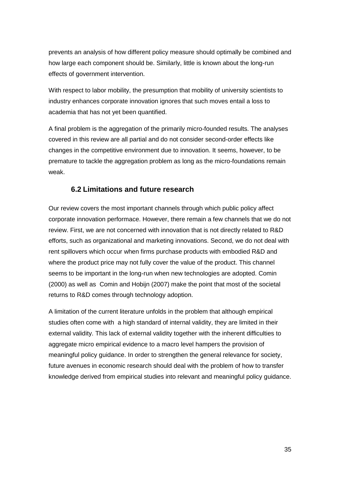prevents an analysis of how different policy measure should optimally be combined and how large each component should be. Similarly, little is known about the long-run effects of government intervention.

With respect to labor mobility, the presumption that mobility of university scientists to industry enhances corporate innovation ignores that such moves entail a loss to academia that has not yet been quantified.

A final problem is the aggregation of the primarily micro-founded results. The analyses covered in this review are all partial and do not consider second-order effects like changes in the competitive environment due to innovation. It seems, however, to be premature to tackle the aggregation problem as long as the micro-foundations remain weak.

# **6.2 Limitations and future research**

Our review covers the most important channels through which public policy affect corporate innovation performace. However, there remain a few channels that we do not review. First, we are not concerned with innovation that is not directly related to R&D efforts, such as organizational and marketing innovations. Second, we do not deal with rent spillovers which occur when firms purchase products with embodied R&D and where the product price may not fully cover the value of the product. This channel seems to be important in the long-run when new technologies are adopted. Comin (2000) as well as Comin and Hobijn (2007) make the point that most of the societal returns to R&D comes through technology adoption.

A limitation of the current literature unfolds in the problem that although empirical studies often come with a high standard of internal validity, they are limited in their external validity. This lack of external validity together with the inherent difficulties to aggregate micro empirical evidence to a macro level hampers the provision of meaningful policy guidance. In order to strengthen the general relevance for society, future avenues in economic research should deal with the problem of how to transfer knowledge derived from empirical studies into relevant and meaningful policy guidance.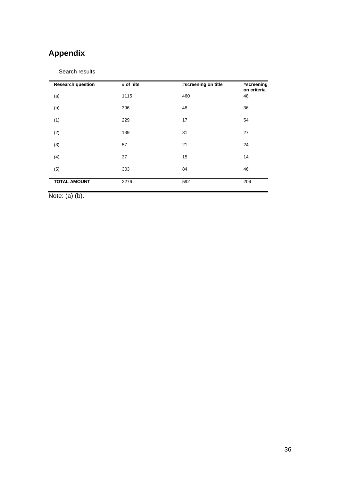# **Appendix**

#### Search results

| <b>Research question</b> | # of hits | #screening on title | #screening<br>on criteria |
|--------------------------|-----------|---------------------|---------------------------|
| (a)                      | 1115      | 460                 | 48                        |
| (b)                      | 396       | 48                  | 36                        |
| (1)                      | 229       | 17                  | 54                        |
| (2)                      | 139       | 31                  | 27                        |
| (3)                      | 57        | 21                  | 24                        |
| (4)                      | 37        | 15                  | 14                        |
| (5)                      | 303       | 84                  | 46                        |
| <b>TOTAL AMOUNT</b>      | 2276      | 592                 | 204                       |

Note: (a) (b).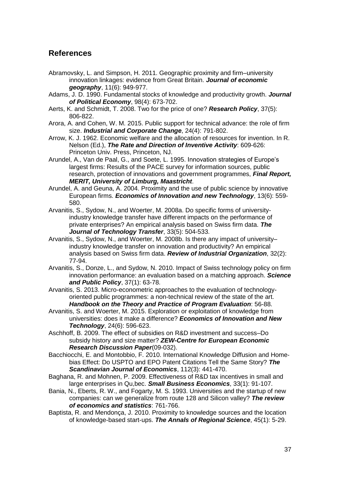# **References**

- Abramovsky, L. and Simpson, H. 2011. Geographic proximity and firm–university innovation linkages: evidence from Great Britain. *Journal of economic geography*, 11(6): 949-977.
- Adams, J. D. 1990. Fundamental stocks of knowledge and productivity growth. *Journal of Political Economy*, 98(4): 673-702.
- Aerts, K. and Schmidt, T. 2008. Two for the price of one? *Research Policy*, 37(5): 806-822.
- Arora, A. and Cohen, W. M. 2015. Public support for technical advance: the role of firm size. *Industrial and Corporate Change*, 24(4): 791-802.
- Arrow, K. J. 1962. Economic welfare and the allocation of resources for invention. In R. Nelson (Ed.), *The Rate and Direction of Inventive Activity*: 609-626: Princeton Univ. Press, Princeton, NJ.
- Arundel, A., Van de Paal, G., and Soete, L. 1995. Innovation strategies of Europe's largest firms: Results of the PACE survey for information sources, public research, protection of innovations and government programmes, *Final Report, MERIT, University of Limburg, Maastricht*.
- Arundel, A. and Geuna, A. 2004. Proximity and the use of public science by innovative European firms. *Economics of Innovation and new Technology*, 13(6): 559- 580.
- Arvanitis, S., Sydow, N., and Woerter, M. 2008a. Do specific forms of universityindustry knowledge transfer have different impacts on the performance of private enterprises? An empirical analysis based on Swiss firm data. *The Journal of Technology Transfer*, 33(5): 504-533.
- Arvanitis, S., Sydow, N., and Woerter, M. 2008b. Is there any impact of university– industry knowledge transfer on innovation and productivity? An empirical analysis based on Swiss firm data. *Review of Industrial Organization*, 32(2): 77-94.
- Arvanitis, S., Donze, L., and Sydow, N. 2010. Impact of Swiss technology policy on firm innovation performance: an evaluation based on a matching approach. *Science and Public Policy*, 37(1): 63-78.
- Arvanitis, S. 2013. Micro-econometric approaches to the evaluation of technologyoriented public programmes: a non-technical review of the state of the art. *Handbook on the Theory and Practice of Program Evaluation*: 56-88.
- Arvanitis, S. and Woerter, M. 2015. Exploration or exploitation of knowledge from universities: does it make a difference? *Economics of Innovation and New Technology*, 24(6): 596-623.
- Aschhoff, B. 2009. The effect of subsidies on R&D investment and success–Do subsidy history and size matter? *ZEW-Centre for European Economic Research Discussion Paper*(09-032).
- Bacchiocchi, E. and Montobbio, F. 2010. International Knowledge Diffusion and Home‐ bias Effect: Do USPTO and EPO Patent Citations Tell the Same Story? *The Scandinavian Journal of Economics*, 112(3): 441-470.
- Baghana, R. and Mohnen, P. 2009. Effectiveness of R&D tax incentives in small and large enterprises in Qu,bec. *Small Business Economics*, 33(1): 91-107.
- Bania, N., Eberts, R. W., and Fogarty, M. S. 1993. Universities and the startup of new companies: can we generalize from route 128 and Silicon valley? *The review of economics and statistics*: 761-766.
- Baptista, R. and Mendonça, J. 2010. Proximity to knowledge sources and the location of knowledge-based start-ups. *The Annals of Regional Science*, 45(1): 5-29.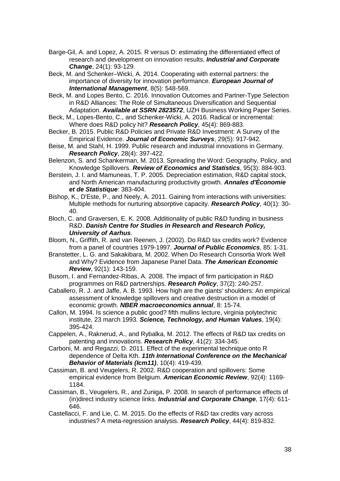- Barge-Gil, A. and Lopez, A. 2015. R versus D: estimating the differentiated effect of research and development on innovation results. *Industrial and Corporate Change*, 24(1): 93-129.
- Beck, M. and Schenker–Wicki, A. 2014. Cooperating with external partners: the importance of diversity for innovation performance. *European Journal of International Management*, 8(5): 548-569.
- Beck, M. and Lopes Bento, C. 2016. Innovation Outcomes and Partner-Type Selection in R&D Alliances: The Role of Simultaneous Diversification and Sequential Adaptation. *Available at SSRN 2823572*, UZH Business Working Paper Series.
- Beck, M., Lopes-Bento, C., and Schenker-Wicki, A. 2016. Radical or incremental: Where does R&D policy hit? *Research Policy*, 45(4): 869-883.
- Becker, B. 2015. Public R&D Policies and Private R&D Investment: A Survey of the Empirical Evidence. *Journal of Economic Surveys*, 29(5): 917-942.
- Beise, M. and Stahl, H. 1999. Public research and industrial innovations in Germany. *Research Policy*, 28(4): 397-422.
- Belenzon, S. and Schankerman, M. 2013. Spreading the Word: Geography, Policy, and Knowledge Spillovers. *Review of Economics and Statistics*, 95(3): 884-903.
- Berstein, J. I. and Mamuneas, T. P. 2005. Depreciation estimation, R&D capital stock, and North American manufacturing productivity growth. *Annales d'Économie et de Statistique*: 383-404.
- Bishop, K., D'Este, P., and Neely, A. 2011. Gaining from interactions with universities: Multiple methods for nurturing absorptive capacity. *Research Policy*, 40(1): 30- 40.
- Bloch, C. and Graversen, E. K. 2008. Additionality of public R&D funding in business R&D. *Danish Centre for Studies in Research and Research Policy, University of Aarhus*.
- Bloom, N., Griffith, R. and van Reenen, J. (2002). Do R&D tax credits work? Evidence from a panel of countries 1979-1997. *Journal of Public Economics*, 85: 1-31.
- Branstetter, L. G. and Sakakibara, M. 2002. When Do Research Consortia Work Well and Why? Evidence from Japanese Panel Data. *The American Economic Review*, 92(1): 143-159.
- Busom, I. and Fernandez-Ribas, A. 2008. The impact of firm participation in R&D programmes on R&D partnerships. *Research Policy*, 37(2): 240-257.
- Caballero, R. J. and Jaffe, A. B. 1993. How high are the giants' shoulders: An empirical assessment of knowledge spillovers and creative destruction in a model of economic growth. *NBER macroeconomics annual*, 8: 15-74.
- Callon, M. 1994. Is science a public good? fifth mullins lecture, virginia polytechnic institute, 23 march 1993. *Science, Technology, and Human Values*, 19(4): 395-424.
- Cappelen, A., Raknerud, A., and Rybalka, M. 2012. The effects of R&D tax credits on patenting and innovations. *Research Policy*, 41(2): 334-345.
- Carboni, M. and Regazzi, D. 2011. Effect of the experimental technique onto R dependence of Delta Kth. *11th International Conference on the Mechanical Behavior of Materials (Icm11)*, 10(4): 419-439.
- Cassiman, B. and Veugelers, R. 2002. R&D cooperation and spillovers: Some empirical evidence from Belgium. *American Economic Review*, 92(4): 1169- 1184.
- Cassiman, B., Veugelers, R., and Zuniga, P. 2008. In search of performance effects of (in)direct industry science links. *Industrial and Corporate Change*, 17(4): 611- 646.
- Castellacci, F. and Lie, C. M. 2015. Do the effects of R&D tax credits vary across industries? A meta-regression analysis. *Research Policy*, 44(4): 819-832.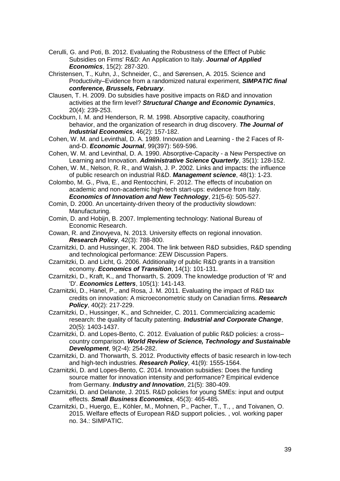- Cerulli, G. and Poti, B. 2012. Evaluating the Robustness of the Effect of Public Subsidies on Firms' R&D: An Application to Italy. *Journal of Applied Economics*, 15(2): 287-320.
- Christensen, T., Kuhn, J., Schneider, C., and Sørensen, A. 2015. Science and Productivity–Evidence from a randomized natural experiment, *SIMPATIC final conference, Brussels, February*.
- Clausen, T. H. 2009. Do subsidies have positive impacts on R&D and innovation activities at the firm level? *Structural Change and Economic Dynamics*, 20(4): 239-253.
- Cockburn, I. M. and Henderson, R. M. 1998. Absorptive capacity, coauthoring behavior, and the organization of research in drug discovery. *The Journal of Industrial Economics*, 46(2): 157-182.
- Cohen, W. M. and Levinthal, D. A. 1989. Innovation and Learning the 2 Faces of Rand-D. *Economic Journal*, 99(397): 569-596.
- Cohen, W. M. and Levinthal, D. A. 1990. Absorptive-Capacity a New Perspective on Learning and Innovation. *Administrative Science Quarterly*, 35(1): 128-152.
- Cohen, W. M., Nelson, R. R., and Walsh, J. P. 2002. Links and impacts: the influence of public research on industrial R&D. *Management science*, 48(1): 1-23.
- Colombo, M. G., Piva, E., and Rentocchini, F. 2012. The effects of incubation on academic and non-academic high-tech start-ups: evidence from Italy. *Economics of Innovation and New Technology*, 21(5-6): 505-527.
- Comin, D. 2000. An uncertainty-driven theory of the productivity slowdown: Manufacturing.
- Comin, D. and Hobijn, B. 2007. Implementing technology: National Bureau of Economic Research.
- Cowan, R. and Zinovyeva, N. 2013. University effects on regional innovation. *Research Policy*, 42(3): 788-800.
- Czarnitzki, D. and Hussinger, K. 2004. The link between R&D subsidies, R&D spending and technological performance: ZEW Discussion Papers.
- Czarnitzki, D. and Licht, G. 2006. Additionality of public R&D grants in a transition economy. *Economics of Transition*, 14(1): 101-131.
- Czarnitzki, D., Kraft, K., and Thorwarth, S. 2009. The knowledge production of 'R' and 'D'. *Economics Letters*, 105(1): 141-143.
- Czarnitzki, D., Hanel, P., and Rosa, J. M. 2011. Evaluating the impact of R&D tax credits on innovation: A microeconometric study on Canadian firms. *Research Policy*, 40(2): 217-229.
- Czarnitzki, D., Hussinger, K., and Schneider, C. 2011. Commercializing academic research: the quality of faculty patenting. *Industrial and Corporate Change*, 20(5): 1403-1437.
- Czarnitzki, D. and Lopes-Bento, C. 2012. Evaluation of public R&D policies: a cross– country comparison. *World Review of Science, Technology and Sustainable Development*, 9(2-4): 254-282.
- Czarnitzki, D. and Thorwarth, S. 2012. Productivity effects of basic research in low-tech and high-tech industries. *Research Policy*, 41(9): 1555-1564.
- Czarnitzki, D. and Lopes-Bento, C. 2014. Innovation subsidies: Does the funding source matter for innovation intensity and performance? Empirical evidence from Germany. *Industry and Innovation*, 21(5): 380-409.
- Czarnitzki, D. and Delanote, J. 2015. R&D policies for young SMEs: input and output effects. *Small Business Economics*, 45(3): 465-485.
- Czarnitzki, D., Huergo, E., Köhler, M., Mohnen, P., Pacher, T., T., , and Toivanen, O. 2015. Welfare effects of European R&D support policies. , vol. working paper no. 34.: SIMPATIC.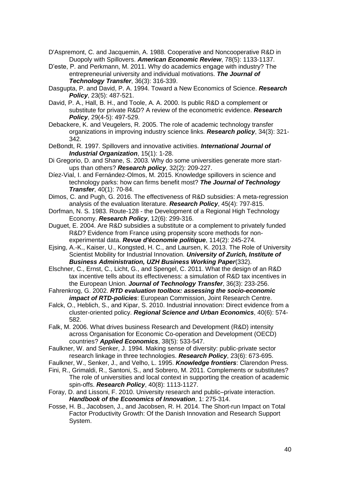- D'Aspremont, C. and Jacquemin, A. 1988. Cooperative and Noncooperative R&D in Duopoly with Spillovers. *American Economic Review*, 78(5): 1133-1137.
- D'este, P. and Perkmann, M. 2011. Why do academics engage with industry? The entrepreneurial university and individual motivations. *The Journal of Technology Transfer*, 36(3): 316-339.
- Dasgupta, P. and David, P. A. 1994. Toward a New Economics of Science. *Research Policy*, 23(5): 487-521.
- David, P. A., Hall, B. H., and Toole, A. A. 2000. Is public R&D a complement or substitute for private R&D? A review of the econometric evidence. *Research Policy*, 29(4-5): 497-529.
- Debackere, K. and Veugelers, R. 2005. The role of academic technology transfer organizations in improving industry science links. *Research policy*, 34(3): 321- 342.
- DeBondt, R. 1997. Spillovers and innovative activities. *International Journal of Industrial Organization*, 15(1): 1-28.
- Di Gregorio, D. and Shane, S. 2003. Why do some universities generate more startups than others? *Research policy*, 32(2): 209-227.
- Díez-Vial, I. and Fernández-Olmos, M. 2015. Knowledge spillovers in science and technology parks: how can firms benefit most? *The Journal of Technology Transfer*, 40(1): 70-84.
- Dimos, C. and Pugh, G. 2016. The effectiveness of R&D subsidies: A meta-regression analysis of the evaluation literature. *Research Policy*, 45(4): 797-815.
- Dorfman, N. S. 1983. Route-128 the Development of a Regional High Technology Economy. *Research Policy*, 12(6): 299-316.
- Duguet, E. 2004. Are R&D subsidies a substitute or a complement to privately funded R&D? Evidence from France using propensity score methods for nonexperimental data. *Revue d'économie politique*, 114(2): 245-274.
- Ejsing, A.-K., Kaiser, U., Kongsted, H. C., and Laursen, K. 2013. The Role of University Scientist Mobility for Industrial Innovation. *University of Zurich, Institute of Business Administration, UZH Business Working Paper*(332).
- Elschner, C., Ernst, C., Licht, G., and Spengel, C. 2011. What the design of an R&D tax incentive tells about its effectiveness: a simulation of R&D tax incentives in the European Union. *Journal of Technology Transfer*, 36(3): 233-256.
- Fahrenkrog, G. 2002. *RTD evaluation toolbox: assessing the socio-economic impact of RTD-policies: European Commission, Joint Research Centre.*
- Falck, O., Heblich, S., and Kipar, S. 2010. Industrial innovation: Direct evidence from a cluster-oriented policy. *Regional Science and Urban Economics*, 40(6): 574- 582.
- Falk, M. 2006. What drives business Research and Development (R&D) intensity across Organisation for Economic Co-operation and Development (OECD) countries? *Applied Economics*, 38(5): 533-547.
- Faulkner, W. and Senker, J. 1994. Making sense of diversity: public-private sector research linkage in three technologies. *Research Policy*, 23(6): 673-695.
- Faulkner, W., Senker, J., and Velho, L. 1995. *Knowledge frontiers*: Clarendon Press.
- Fini, R., Grimaldi, R., Santoni, S., and Sobrero, M. 2011. Complements or substitutes? The role of universities and local context in supporting the creation of academic spin-offs. *Research Policy*, 40(8): 1113-1127.
- Foray, D. and Lissoni, F. 2010. University research and public–private interaction. *Handbook of the Economics of Innovation*, 1: 275-314.
- Fosse, H. B., Jacobsen, J., and Jacobsen, R. H. 2014. The Short-run Impact on Total Factor Productivity Growth: Of the Danish Innovation and Research Support System.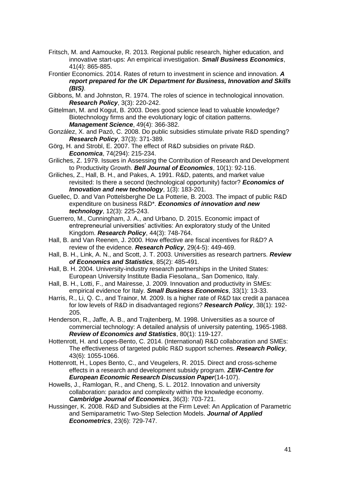- Fritsch, M. and Aamoucke, R. 2013. Regional public research, higher education, and innovative start-ups: An empirical investigation. *Small Business Economics*, 41(4): 865-885.
- Frontier Economics. 2014. Rates of return to investment in science and innovation. *A report prepared for the UK Department for Business, Innovation and Skills (BIS)*.
- Gibbons, M. and Johnston, R. 1974. The roles of science in technological innovation. *Research Policy*, 3(3): 220-242.
- Gittelman, M. and Kogut, B. 2003. Does good science lead to valuable knowledge? Biotechnology firms and the evolutionary logic of citation patterns. *Management Science*, 49(4): 366-382.
- González, X. and Pazó, C. 2008. Do public subsidies stimulate private R&D spending? *Research Policy*, 37(3): 371-389.
- Görg, H. and Strobl, E. 2007. The effect of R&D subsidies on private R&D. *Economica*, 74(294): 215-234.
- Griliches, Z. 1979. Issues in Assessing the Contribution of Research and Development to Productivity Growth. *Bell Journal of Economics*, 10(1): 92-116.
- Griliches, Z., Hall, B. H., and Pakes, A. 1991. R&D, patents, and market value revisited: Is there a second (technological opportunity) factor? *Economics of Innovation and new technology*, 1(3): 183-201.
- Guellec, D. and Van Pottelsberghe De La Potterie, B. 2003. The impact of public R&D expenditure on business R&D\*. *Economics of innovation and new technology*, 12(3): 225-243.
- Guerrero, M., Cunningham, J. A., and Urbano, D. 2015. Economic impact of entrepreneurial universities' activities: An exploratory study of the United Kingdom. *Research Policy*, 44(3): 748-764.
- Hall, B. and Van Reenen, J. 2000. How effective are fiscal incentives for R&D? A review of the evidence. *Research Policy*, 29(4-5): 449-469.
- Hall, B. H., Link, A. N., and Scott, J. T. 2003. Universities as research partners. *Review of Economics and Statistics*, 85(2): 485-491.
- Hall, B. H. 2004. University-industry research partnerships in the United States: European University Institute Badia Fiesolana,, San Domenico, Italy.
- Hall, B. H., Lotti, F., and Mairesse, J. 2009. Innovation and productivity in SMEs: empirical evidence for Italy. *Small Business Economics*, 33(1): 13-33.
- Harris, R., Li, Q. C., and Trainor, M. 2009. Is a higher rate of R&D tax credit a panacea for low levels of R&D in disadvantaged regions? *Research Policy*, 38(1): 192- 205.
- Henderson, R., Jaffe, A. B., and Trajtenberg, M. 1998. Universities as a source of commercial technology: A detailed analysis of university patenting, 1965-1988. *Review of Economics and Statistics*, 80(1): 119-127.
- Hottenrott, H. and Lopes-Bento, C. 2014. (International) R&D collaboration and SMEs: The effectiveness of targeted public R&D support schemes. *Research Policy*, 43(6): 1055-1066.
- Hottenrott, H., Lopes Bento, C., and Veugelers, R. 2015. Direct and cross-scheme effects in a research and development subsidy program. *ZEW-Centre for European Economic Research Discussion Paper*(14-107).
- Howells, J., Ramlogan, R., and Cheng, S. L. 2012. Innovation and university collaboration: paradox and complexity within the knowledge economy. *Cambridge Journal of Economics*, 36(3): 703-721.
- Hussinger, K. 2008. R&D and Subsidies at the Firm Level: An Application of Parametric and Semiparametric Two-Step Selection Models. *Journal of Applied Econometrics*, 23(6): 729-747.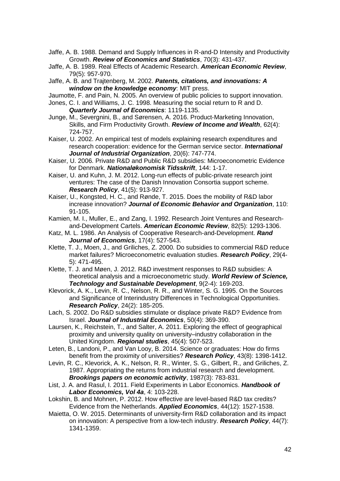- Jaffe, A. B. 1988. Demand and Supply Influences in R-and-D Intensity and Productivity Growth. *Review of Economics and Statistics*, 70(3): 431-437.
- Jaffe, A. B. 1989. Real Effects of Academic Research. *American Economic Review*, 79(5): 957-970.
- Jaffe, A. B. and Trajtenberg, M. 2002. *Patents, citations, and innovations: A window on the knowledge economy*: MIT press.

Jaumotte, F. and Pain, N. 2005. An overview of public policies to support innovation.

- Jones, C. I. and Williams, J. C. 1998. Measuring the social return to R and D. *Quarterly Journal of Economics*: 1119-1135.
- Junge, M., Severgnini, B., and Sørensen, A. 2016. Product‐Marketing Innovation, Skills, and Firm Productivity Growth. *Review of Income and Wealth*, 62(4): 724-757.
- Kaiser, U. 2002. An empirical test of models explaining research expenditures and research cooperation: evidence for the German service sector. *International Journal of Industrial Organization*, 20(6): 747-774.
- Kaiser, U. 2006. Private R&D and Public R&D subsidies: Microeconometric Evidence for Denmark. *Nationaløkonomisk Tidsskrift*, 144: 1-17.
- Kaiser, U. and Kuhn, J. M. 2012. Long-run effects of public-private research joint ventures: The case of the Danish Innovation Consortia support scheme. *Research Policy*, 41(5): 913-927.
- Kaiser, U., Kongsted, H. C., and Rønde, T. 2015. Does the mobility of R&D labor increase innovation? *Journal of Economic Behavior and Organization*, 110: 91-105.
- Kamien, M. I., Muller, E., and Zang, I. 1992. Research Joint Ventures and Researchand-Development Cartels. *American Economic Review*, 82(5): 1293-1306.
- Katz, M. L. 1986. An Analysis of Cooperative Research-and-Development. *Rand Journal of Economics*, 17(4): 527-543.
- Klette, T. J., Moen, J., and Griliches, Z. 2000. Do subsidies to commercial R&D reduce market failures? Microeconometric evaluation studies. *Research Policy*, 29(4- 5): 471-495.
- Klette, T. J. and Møen, J. 2012. R&D investment responses to R&D subsidies: A theoretical analysis and a microeconometric study. *World Review of Science, Technology and Sustainable Development*, 9(2-4): 169-203.
- Klevorick, A. K., Levin, R. C., Nelson, R. R., and Winter, S. G. 1995. On the Sources and Significance of Interindustry Differences in Technological Opportunities. *Research Policy*, 24(2): 185-205.
- Lach, S. 2002. Do R&D subsidies stimulate or displace private R&D? Evidence from Israel. *Journal of Industrial Economics*, 50(4): 369-390.
- Laursen, K., Reichstein, T., and Salter, A. 2011. Exploring the effect of geographical proximity and university quality on university–industry collaboration in the United Kingdom. *Regional studies*, 45(4): 507-523.
- Leten, B., Landoni, P., and Van Looy, B. 2014. Science or graduates: How do firms benefit from the proximity of universities? *Research Policy*, 43(8): 1398-1412.
- Levin, R. C., Klevorick, A. K., Nelson, R. R., Winter, S. G., Gilbert, R., and Griliches, Z. 1987. Appropriating the returns from industrial research and development. *Brookings papers on economic activity*, 1987(3): 783-831.
- List, J. A. and Rasul, I. 2011. Field Experiments in Labor Economics. *Handbook of Labor Economics, Vol 4a*, 4: 103-228.
- Lokshin, B. and Mohnen, P. 2012. How effective are level-based R&D tax credits? Evidence from the Netherlands. *Applied Economics*, 44(12): 1527-1538.
- Maietta, O. W. 2015. Determinants of university-firm R&D collaboration and its impact on innovation: A perspective from a low-tech industry. *Research Policy*, 44(7): 1341-1359.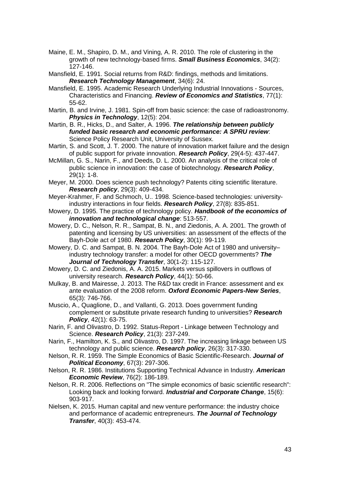- Maine, E. M., Shapiro, D. M., and Vining, A. R. 2010. The role of clustering in the growth of new technology-based firms. *Small Business Economics*, 34(2): 127-146.
- Mansfield, E. 1991. Social returns from R&D: findings, methods and limitations. *Research Technology Management*, 34(6): 24.
- Mansfield, E. 1995. Academic Research Underlying Industrial Innovations Sources, Characteristics and Financing. *Review of Economics and Statistics*, 77(1): 55-62.
- Martin, B. and Irvine, J. 1981. Spin-off from basic science: the case of radioastronomy. *Physics in Technology*, 12(5): 204.
- Martin, B. R., Hicks, D., and Salter, A. 1996. *The relationship between publicly funded basic research and economic performance: A SPRU review*: Science Policy Research Unit, University of Sussex.
- Martin, S. and Scott, J. T. 2000. The nature of innovation market failure and the design of public support for private innovation. *Research Policy*, 29(4-5): 437-447.
- McMillan, G. S., Narin, F., and Deeds, D. L. 2000. An analysis of the critical role of public science in innovation: the case of biotechnology. *Research Policy*, 29(1): 1-8.
- Meyer, M. 2000. Does science push technology? Patents citing scientific literature. *Research policy*, 29(3): 409-434.
- Meyer-Krahmer, F. and Schmoch, U.. 1998. Science-based technologies: universityindustry interactions in four fields. *Research Policy*, 27(8): 835-851.
- Mowery, D. 1995. The practice of technology policy. *Handbook of the economics of innovation and technological change*: 513-557.
- Mowery, D. C., Nelson, R. R., Sampat, B. N., and Ziedonis, A. A. 2001. The growth of patenting and licensing by US universities: an assessment of the effects of the Bayh-Dole act of 1980. *Research Policy*, 30(1): 99-119.
- Mowery, D. C. and Sampat, B. N. 2004. The Bayh-Dole Act of 1980 and university– industry technology transfer: a model for other OECD governments? *The Journal of Technology Transfer*, 30(1-2): 115-127.
- Mowery, D. C. and Ziedonis, A. A. 2015. Markets versus spillovers in outflows of university research. *Research Policy*, 44(1): 50-66.
- Mulkay, B. and Mairesse, J. 2013. The R&D tax credit in France: assessment and ex ante evaluation of the 2008 reform. *Oxford Economic Papers-New Series*, 65(3): 746-766.
- Muscio, A., Quaglione, D., and Vallanti, G. 2013. Does government funding complement or substitute private research funding to universities? *Research Policy*, 42(1): 63-75.
- Narin, F. and Olivastro, D. 1992. Status-Report Linkage between Technology and Science. *Research Policy*, 21(3): 237-249.
- Narin, F., Hamilton, K. S., and Olivastro, D. 1997. The increasing linkage between US technology and public science. *Research policy*, 26(3): 317-330.
- Nelson, R. R. 1959. The Simple Economics of Basic Scientific-Research. *Journal of Political Economy*, 67(3): 297-306.
- Nelson, R. R. 1986. Institutions Supporting Technical Advance in Industry. *American Economic Review*, 76(2): 186-189.
- Nelson, R. R. 2006. Reflections on "The simple economics of basic scientific research": Looking back and looking forward. *Industrial and Corporate Change*, 15(6): 903-917.
- Nielsen, K. 2015. Human capital and new venture performance: the industry choice and performance of academic entrepreneurs. *The Journal of Technology Transfer*, 40(3): 453-474.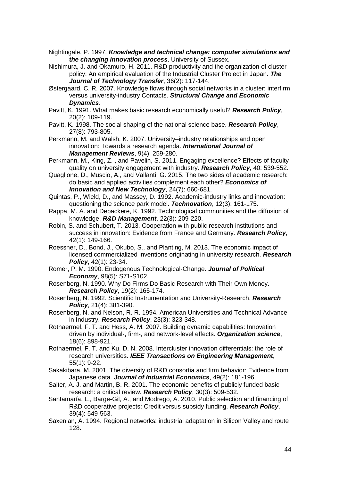- Nightingale, P. 1997. *Knowledge and technical change: computer simulations and the changing innovation process*. University of Sussex.
- Nishimura, J. and Okamuro, H. 2011. R&D productivity and the organization of cluster policy: An empirical evaluation of the Industrial Cluster Project in Japan. *The Journal of Technology Transfer*, 36(2): 117-144.
- Østergaard, C. R. 2007. Knowledge flows through social networks in a cluster: interfirm versus university-industry Contacts. *Structural Change and Economic Dynamics*.
- Pavitt, K. 1991. What makes basic research economically useful? *Research Policy*, 20(2): 109-119.
- Pavitt, K. 1998. The social shaping of the national science base. *Research Policy*, 27(8): 793-805.

Perkmann, M. and Walsh, K. 2007. University–industry relationships and open innovation: Towards a research agenda. *International Journal of Management Reviews*, 9(4): 259-280.

- Perkmann, M., King, Z. , and Pavelin, S. 2011. Engaging excellence? Effects of faculty quality on university engagement with industry. *Research Policy*, 40: 539-552.
- Quaglione, D., Muscio, A., and Vallanti, G. 2015. The two sides of academic research: do basic and applied activities complement each other? *Economics of Innovation and New Technology*, 24(7): 660-681.
- Quintas, P., Wield, D., and Massey, D. 1992. Academic-industry links and innovation: questioning the science park model. *Technovation*, 12(3): 161-175.
- Rappa, M. A. and Debackere, K. 1992. Technological communities and the diffusion of knowledge. *R&D Management*, 22(3): 209-220.
- Robin, S. and Schubert, T. 2013. Cooperation with public research institutions and success in innovation: Evidence from France and Germany. *Research Policy*, 42(1): 149-166.
- Roessner, D., Bond, J., Okubo, S., and Planting, M. 2013. The economic impact of licensed commercialized inventions originating in university research. *Research Policy*, 42(1): 23-34.
- Romer, P. M. 1990. Endogenous Technological-Change. *Journal of Political Economy*, 98(5): S71-S102.
- Rosenberg, N. 1990. Why Do Firms Do Basic Research with Their Own Money. *Research Policy*, 19(2): 165-174.
- Rosenberg, N. 1992. Scientific Instrumentation and University-Research. *Research Policy*, 21(4): 381-390.
- Rosenberg, N. and Nelson, R. R. 1994. American Universities and Technical Advance in Industry. *Research Policy*, 23(3): 323-348.
- Rothaermel, F. T. and Hess, A. M. 2007. Building dynamic capabilities: Innovation driven by individual-, firm-, and network-level effects. *Organization science*, 18(6): 898-921.
- Rothaermel, F. T. and Ku, D. N. 2008. Intercluster innovation differentials: the role of research universities. *IEEE Transactions on Engineering Management*, 55(1): 9-22.
- Sakakibara, M. 2001. The diversity of R&D consortia and firm behavior: Evidence from Japanese data. *Journal of Industrial Economics*, 49(2): 181-196.
- Salter, A. J. and Martin, B. R. 2001. The economic benefits of publicly funded basic research: a critical review. *Research Policy*, 30(3): 509-532.
- Santamaría, L., Barge-Gil, A., and Modrego, A. 2010. Public selection and financing of R&D cooperative projects: Credit versus subsidy funding. *Research Policy*, 39(4): 549-563.
- Saxenian, A. 1994. Regional networks: industrial adaptation in Silicon Valley and route 128.